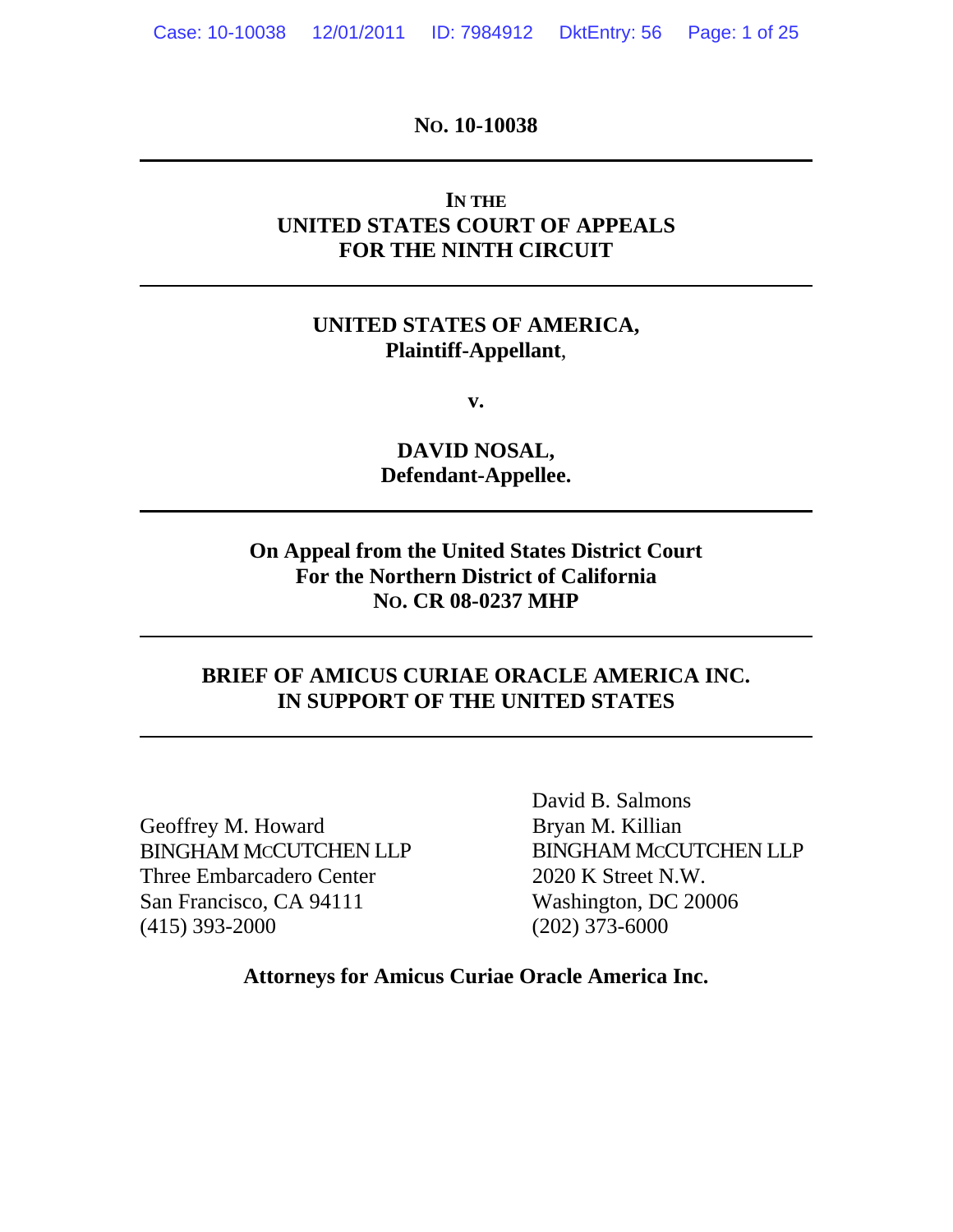**NO. 10-10038** 

# **IN THE UNITED STATES COURT OF APPEALS FOR THE NINTH CIRCUIT**

## **UNITED STATES OF AMERICA, Plaintiff-Appellant**,

**v.** 

**DAVID NOSAL, Defendant-Appellee.**

# **On Appeal from the United States District Court For the Northern District of California NO. CR 08-0237 MHP**

### **BRIEF OF AMICUS CURIAE ORACLE AMERICA INC. IN SUPPORT OF THE UNITED STATES**

Geoffrey M. Howard Bryan M. Killian Three Embarcadero Center 2020 K Street N.W. San Francisco, CA 94111 Washington, DC 20006 (415) 393-2000 (202) 373-6000

<span id="page-0-0"></span>

 David B. Salmons BINGHAM MCCUTCHEN LLP BINGHAM MCCUTCHEN LLP

**Attorneys for Amicus Curiae Oracle America Inc.**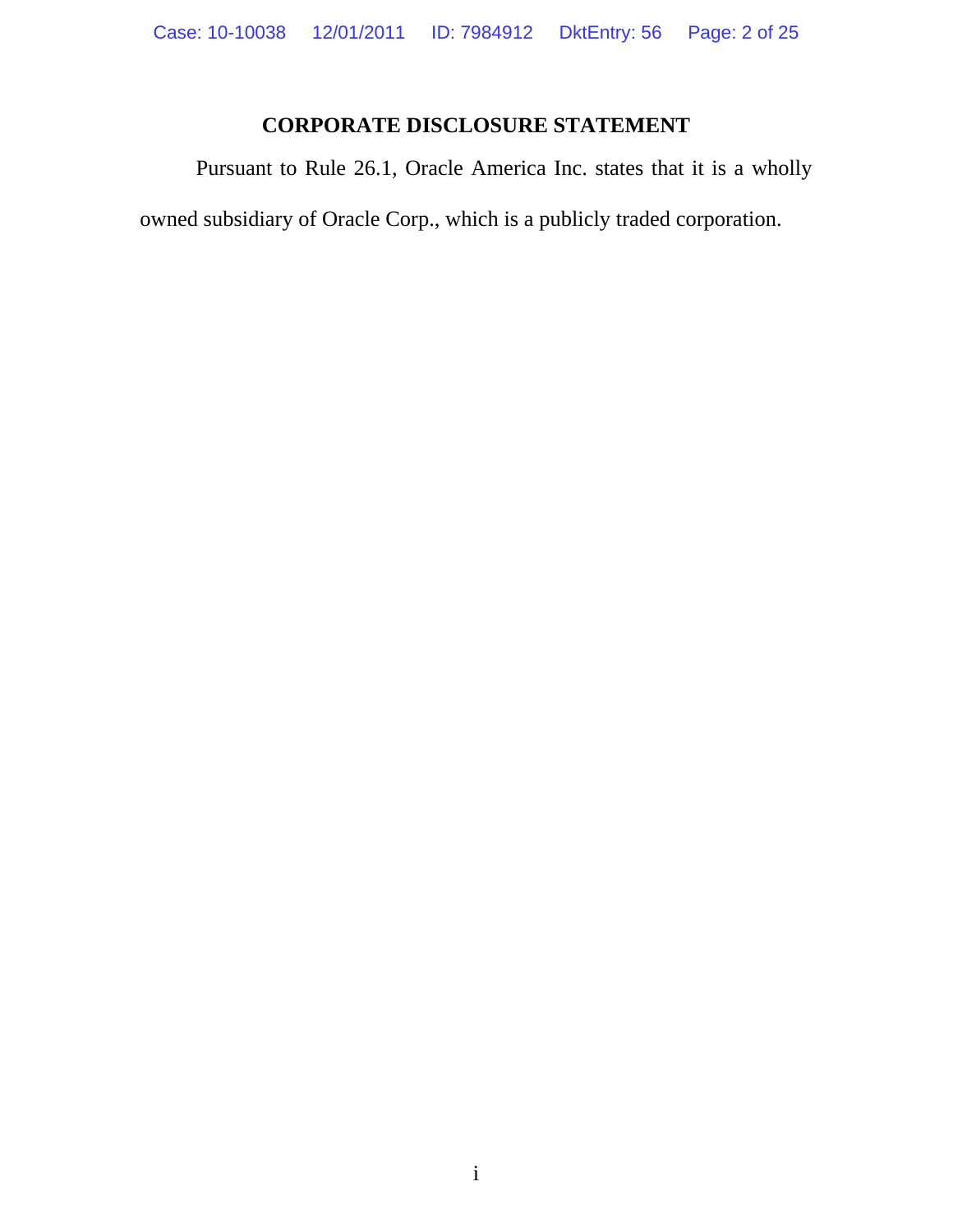# **CORPORATE DISCLOSURE STATEMENT**

 Pursuant to Rule 26.1, Oracle America Inc. states that it is a wholly owned subsidiary of Oracle Corp., which is a publicly traded corporation.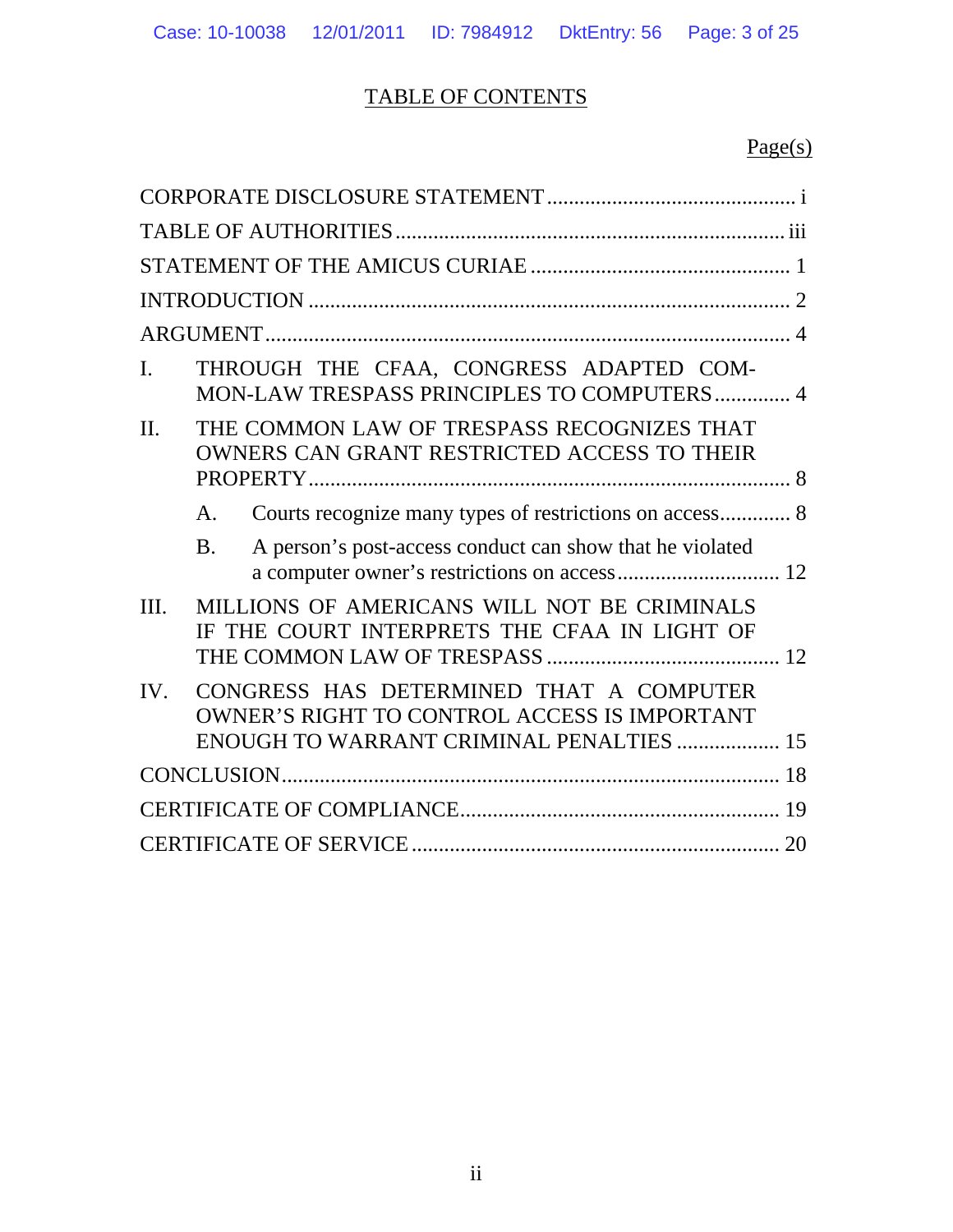# TABLE OF CONTENTS

# Page(s)

| I.   |                | THROUGH THE CFAA, CONGRESS ADAPTED COM-<br>MON-LAW TRESPASS PRINCIPLES TO COMPUTERS 4                                                             |  |
|------|----------------|---------------------------------------------------------------------------------------------------------------------------------------------------|--|
| II.  |                | THE COMMON LAW OF TRESPASS RECOGNIZES THAT<br>OWNERS CAN GRANT RESTRICTED ACCESS TO THEIR                                                         |  |
|      | A.             | Courts recognize many types of restrictions on access 8                                                                                           |  |
|      | B <sub>1</sub> | A person's post-access conduct can show that he violated                                                                                          |  |
| III. |                | MILLIONS OF AMERICANS WILL NOT BE CRIMINALS<br>IF THE COURT INTERPRETS THE CFAA IN LIGHT OF                                                       |  |
| IV.  |                | CONGRESS HAS DETERMINED THAT A COMPUTER<br><b>OWNER'S RIGHT TO CONTROL ACCESS IS IMPORTANT</b><br><b>ENOUGH TO WARRANT CRIMINAL PENALTIES  15</b> |  |
|      |                |                                                                                                                                                   |  |
|      |                |                                                                                                                                                   |  |
|      |                |                                                                                                                                                   |  |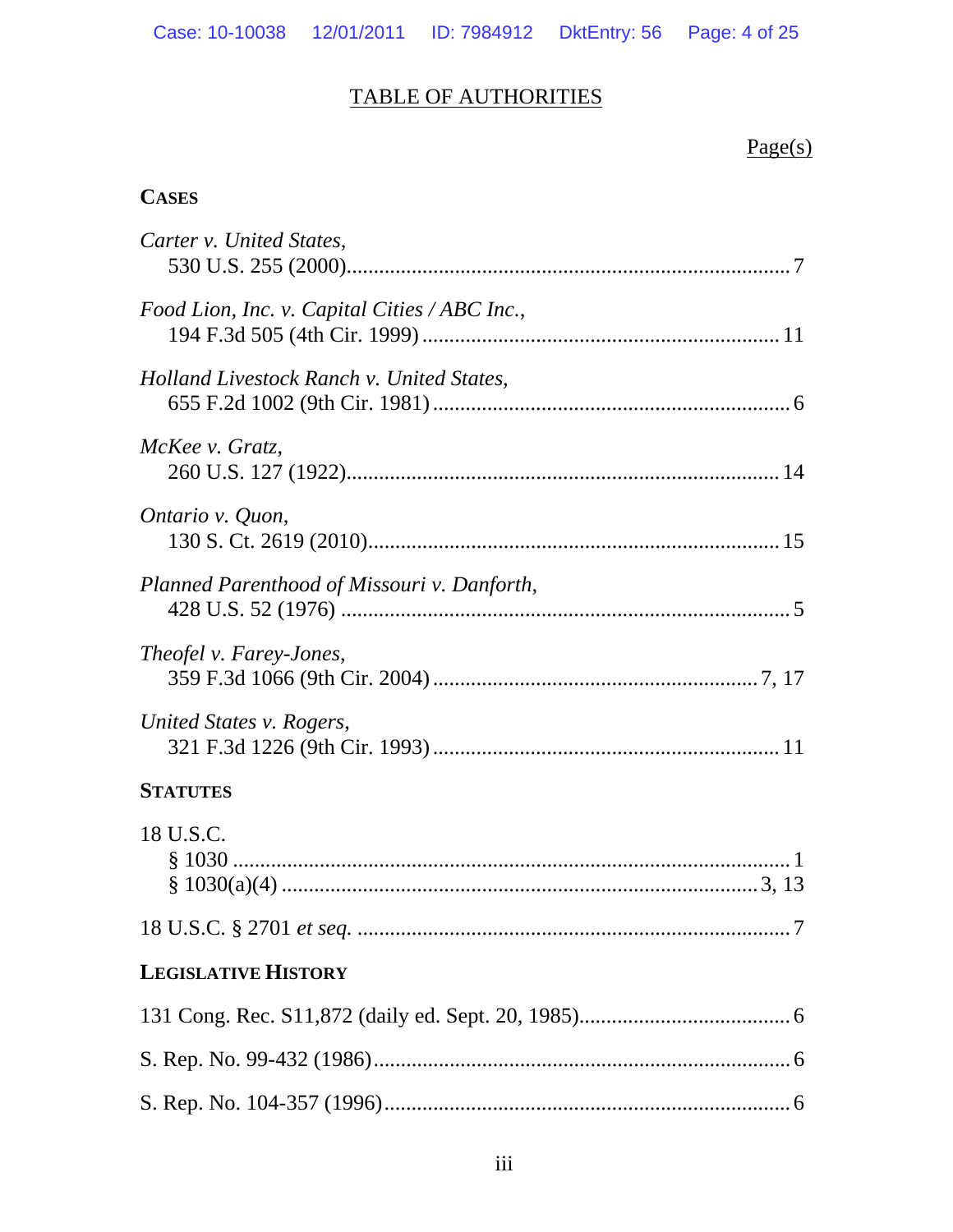# TABLE OF AUTHORITIES

# Page(s)

# **CASES**

| Carter v. United States,                      |
|-----------------------------------------------|
| Food Lion, Inc. v. Capital Cities / ABC Inc., |
| Holland Livestock Ranch v. United States,     |
| McKee v. Gratz,                               |
| Ontario v. Quon,                              |
| Planned Parenthood of Missouri v. Danforth,   |
| Theofel v. Farey-Jones,                       |
| United States v. Rogers,                      |
| <b>STATUTES</b>                               |
| 18 U.S.C.                                     |
|                                               |
| <b>LEGISLATIVE HISTORY</b>                    |
|                                               |
|                                               |
|                                               |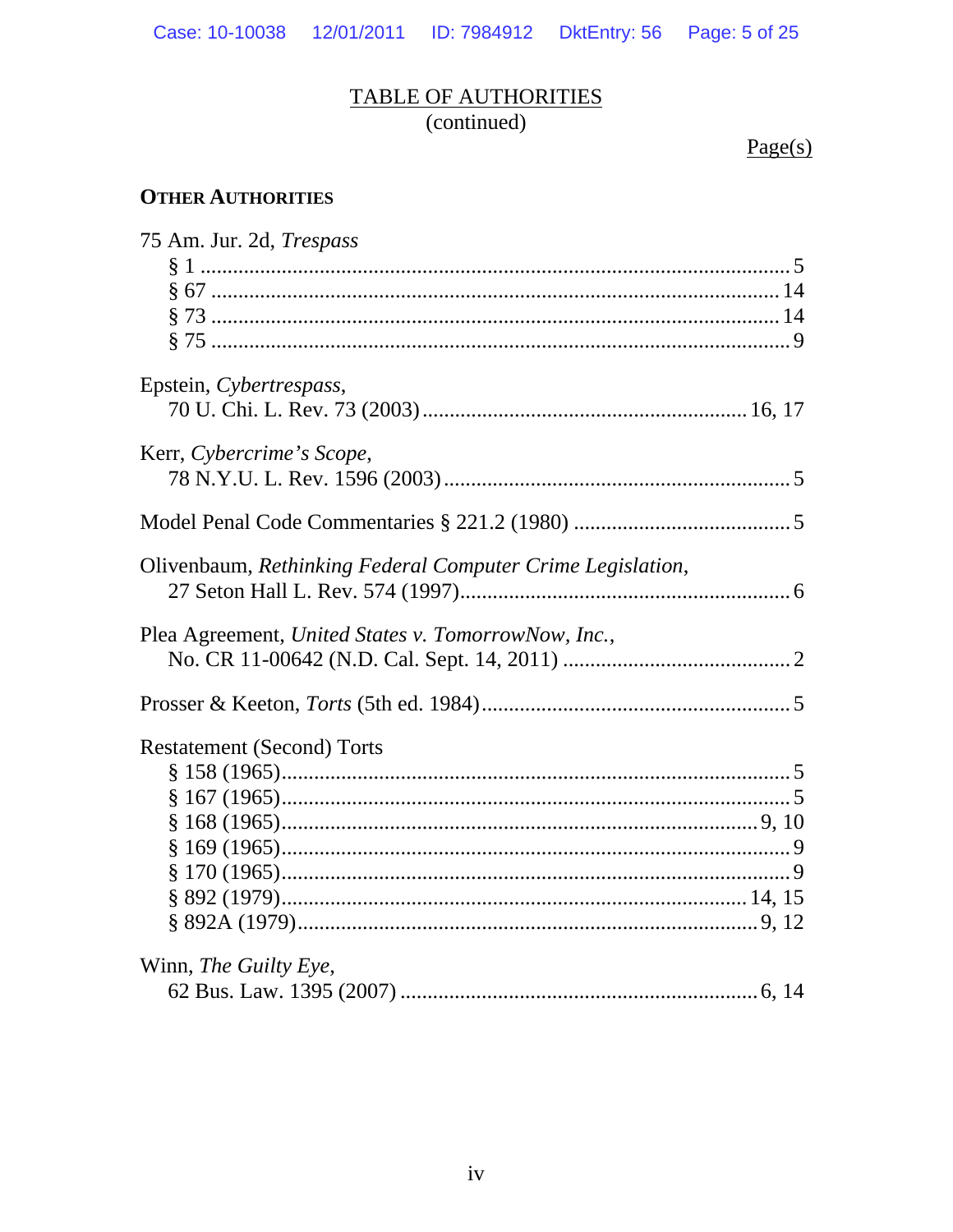# TABLE OF AUTHORITIES

(continued)

 $Page(s)$ 

# **OTHER AUTHORITIES**

| 75 Am. Jur. 2d, Trespass                                   |  |
|------------------------------------------------------------|--|
|                                                            |  |
|                                                            |  |
|                                                            |  |
|                                                            |  |
| Epstein, Cybertrespass,                                    |  |
|                                                            |  |
|                                                            |  |
| Kerr, Cybercrime's Scope,                                  |  |
|                                                            |  |
|                                                            |  |
| Olivenbaum, Rethinking Federal Computer Crime Legislation, |  |
|                                                            |  |
|                                                            |  |
| Plea Agreement, United States v. TomorrowNow, Inc.,        |  |
|                                                            |  |
|                                                            |  |
| <b>Restatement (Second) Torts</b>                          |  |
|                                                            |  |
|                                                            |  |
|                                                            |  |
|                                                            |  |
|                                                            |  |
|                                                            |  |
|                                                            |  |
|                                                            |  |
| Winn, The Guilty Eye,                                      |  |
|                                                            |  |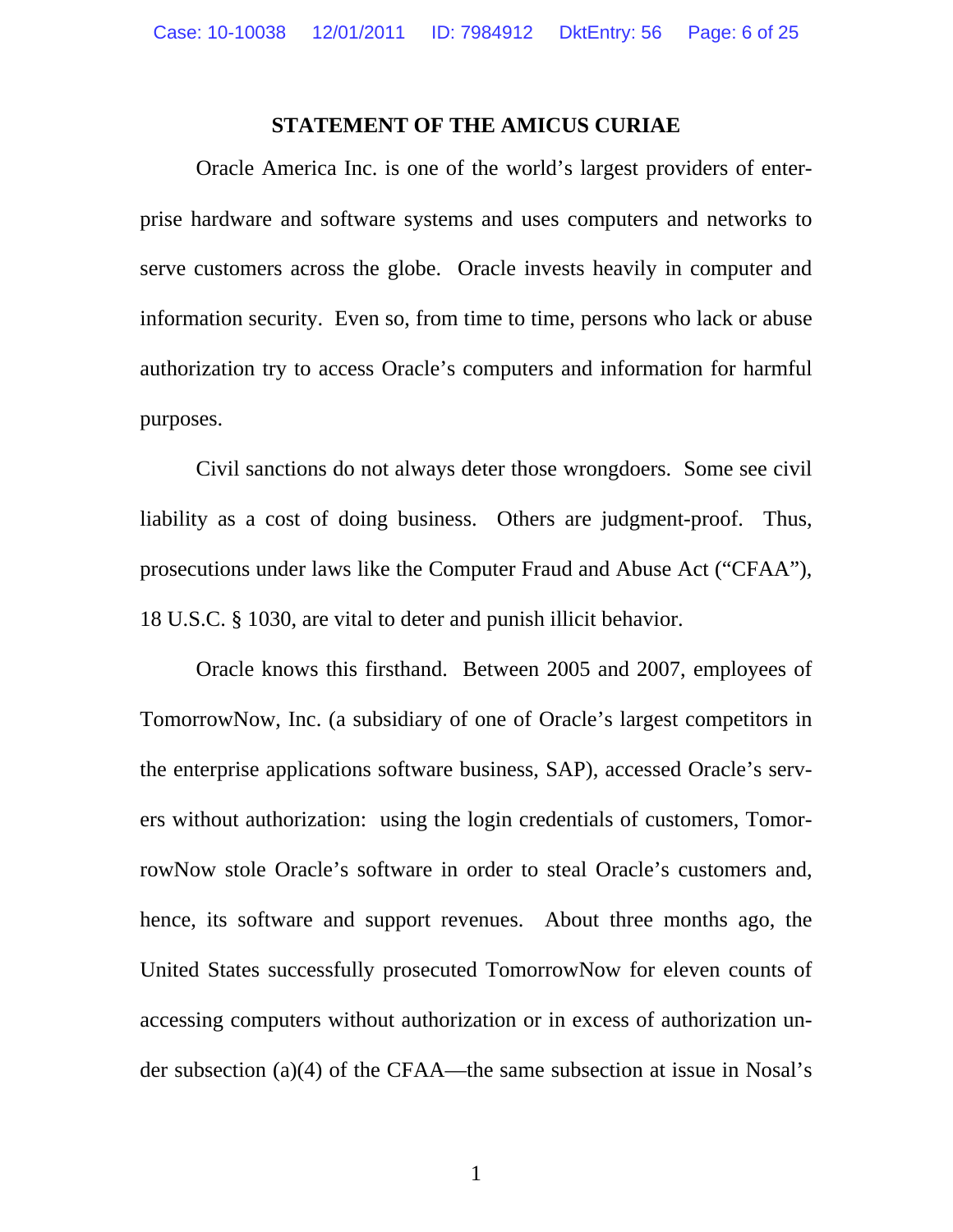#### **STATEMENT OF THE AMICUS CURIAE**

<span id="page-5-0"></span> Oracle America Inc. is one of the world's largest providers of enterprise hardware and software systems and uses computers and networks to serve customers across the globe. Oracle invests heavily in computer and information security. Even so, from time to time, persons who lack or abuse authorization try to access Oracle's computers and information for harmful purposes.

Civil sanctions do not always deter those wrongdoers. Some see civil liability as a cost of doing business. Others are judgment-proof. Thus, prosecutions under laws like the Computer Fraud and Abuse Act ("CFAA"), 18 U.S.C. § 1030, are vital to deter and punish illicit behavior.

Oracle knows this firsthand. Between 2005 and 2007, employees of TomorrowNow, Inc. (a subsidiary of one of Oracle's largest competitors in the enterprise applications software business, SAP), accessed Oracle's servers without authorization: using the login credentials of customers, TomorrowNow stole Oracle's software in order to steal Oracle's customers and, hence, its software and support revenues. About three months ago, the United States successfully prosecuted TomorrowNow for eleven counts of accessing computers without authorization or in excess of authorization under subsection (a)(4) of the CFAA—the same subsection at issue in Nosal's

1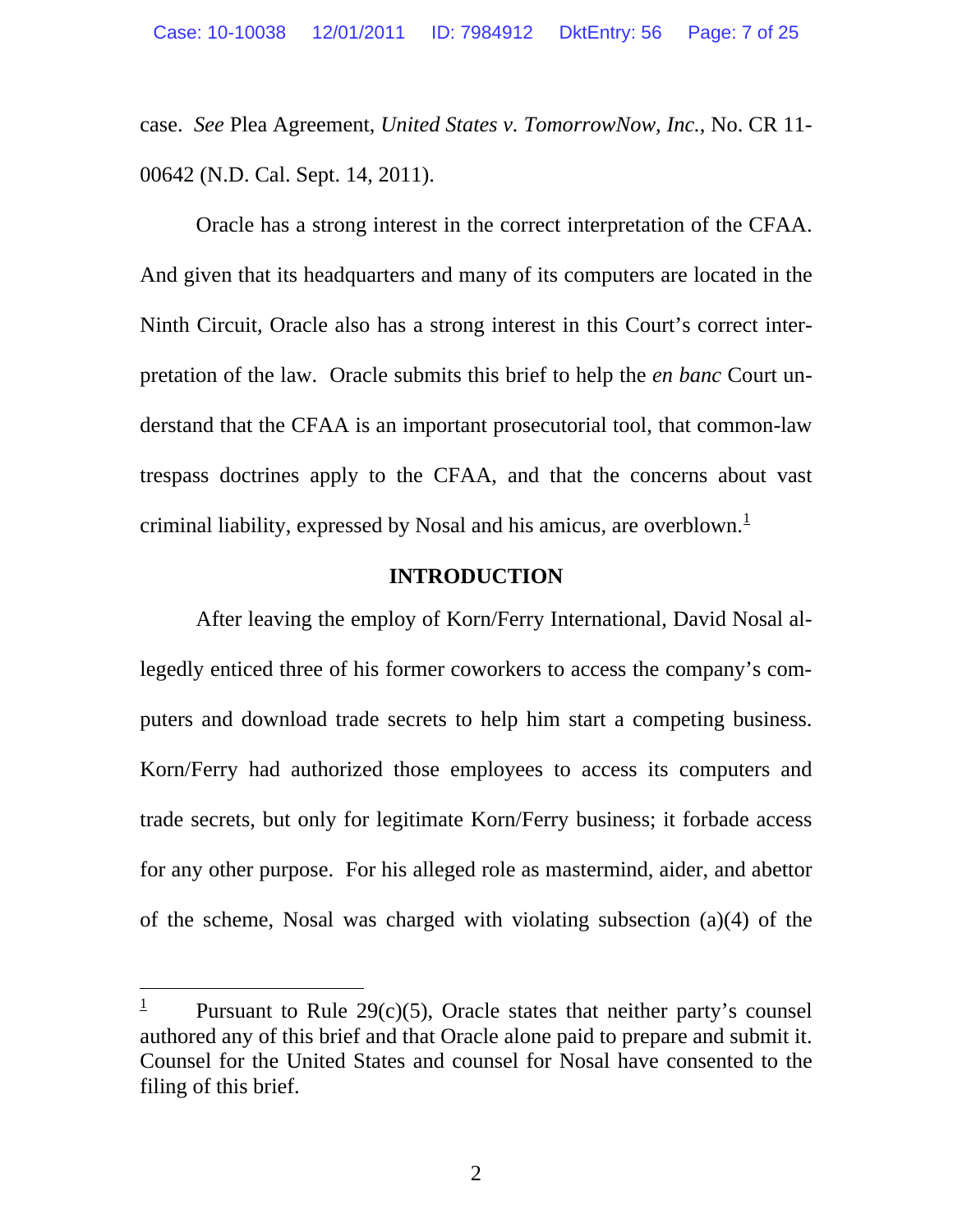case. *See* Plea Agreement, *United States v. TomorrowNow, Inc.*, No. CR 11- 00642 (N.D. Cal. Sept. 14, 2011).

 Oracle has a strong interest in the correct interpretation of the CFAA. And given that its headquarters and many of its computers are located in the Ninth Circuit, Oracle also has a strong interest in this Court's correct interpretation of the law. Oracle submits this brief to help the *en banc* Court understand that the CFAA is an important prosecutorial tool, that common-law trespass doctrines apply to the CFAA, and that the concerns about vast criminal liability, expressed by Nosal and his amicus, are overblown. $<sup>1</sup>$  $<sup>1</sup>$  $<sup>1</sup>$ </sup>

#### **INTRODUCTION**

 After leaving the employ of Korn/Ferry International, David Nosal allegedly enticed three of his former coworkers to access the company's computers and download trade secrets to help him start a competing business. Korn/Ferry had authorized those employees to access its computers and trade secrets, but only for legitimate Korn/Ferry business; it forbade access for any other purpose. For his alleged role as mastermind, aider, and abettor of the scheme, Nosal was charged with violating subsection (a)(4) of the

l

<span id="page-6-0"></span><sup>1</sup> Pursuant to Rule  $29(c)(5)$ , Oracle states that neither party's counsel authored any of this brief and that Oracle alone paid to prepare and submit it. Counsel for the United States and counsel for Nosal have consented to the filing of this brief.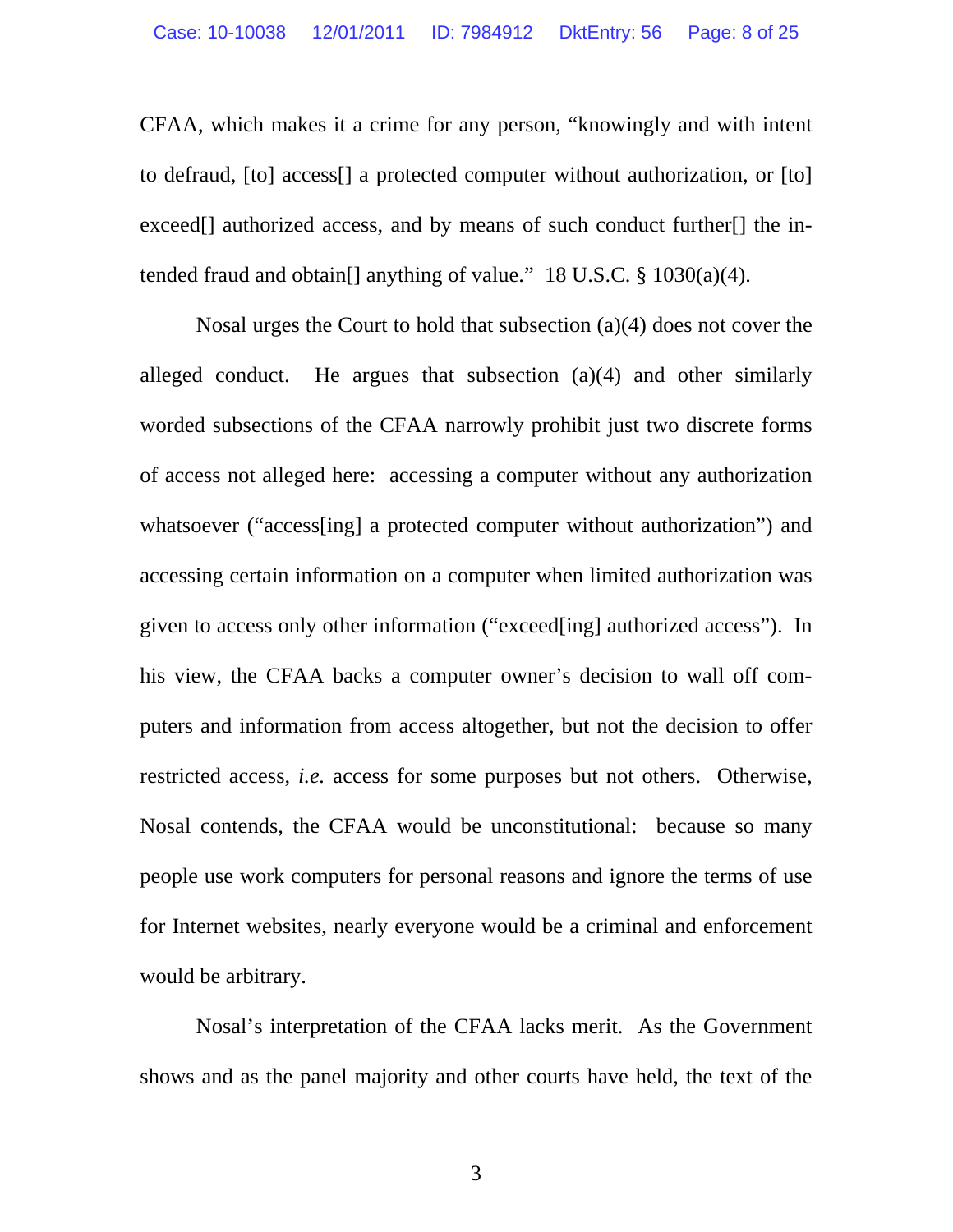<span id="page-7-0"></span>CFAA, which makes it a crime for any person, "knowingly and with intent to defraud, [to] access[] a protected computer without authorization, or [to] exceed<sup>[]</sup> authorized access, and by means of such conduct further<sup>[]</sup> the intended fraud and obtain [] anything of value." 18 U.S.C.  $\S$  1030(a)(4).

Nosal urges the Court to hold that subsection (a)(4) does not cover the alleged conduct. He argues that subsection (a)(4) and other similarly worded subsections of the CFAA narrowly prohibit just two discrete forms of access not alleged here: accessing a computer without any authorization whatsoever ("access[ing] a protected computer without authorization") and accessing certain information on a computer when limited authorization was given to access only other information ("exceed[ing] authorized access"). In his view, the CFAA backs a computer owner's decision to wall off computers and information from access altogether, but not the decision to offer restricted access, *i.e.* access for some purposes but not others. Otherwise, Nosal contends, the CFAA would be unconstitutional: because so many people use work computers for personal reasons and ignore the terms of use for Internet websites, nearly everyone would be a criminal and enforcement would be arbitrary.

Nosal's interpretation of the CFAA lacks merit. As the Government shows and as the panel majority and other courts have held, the text of the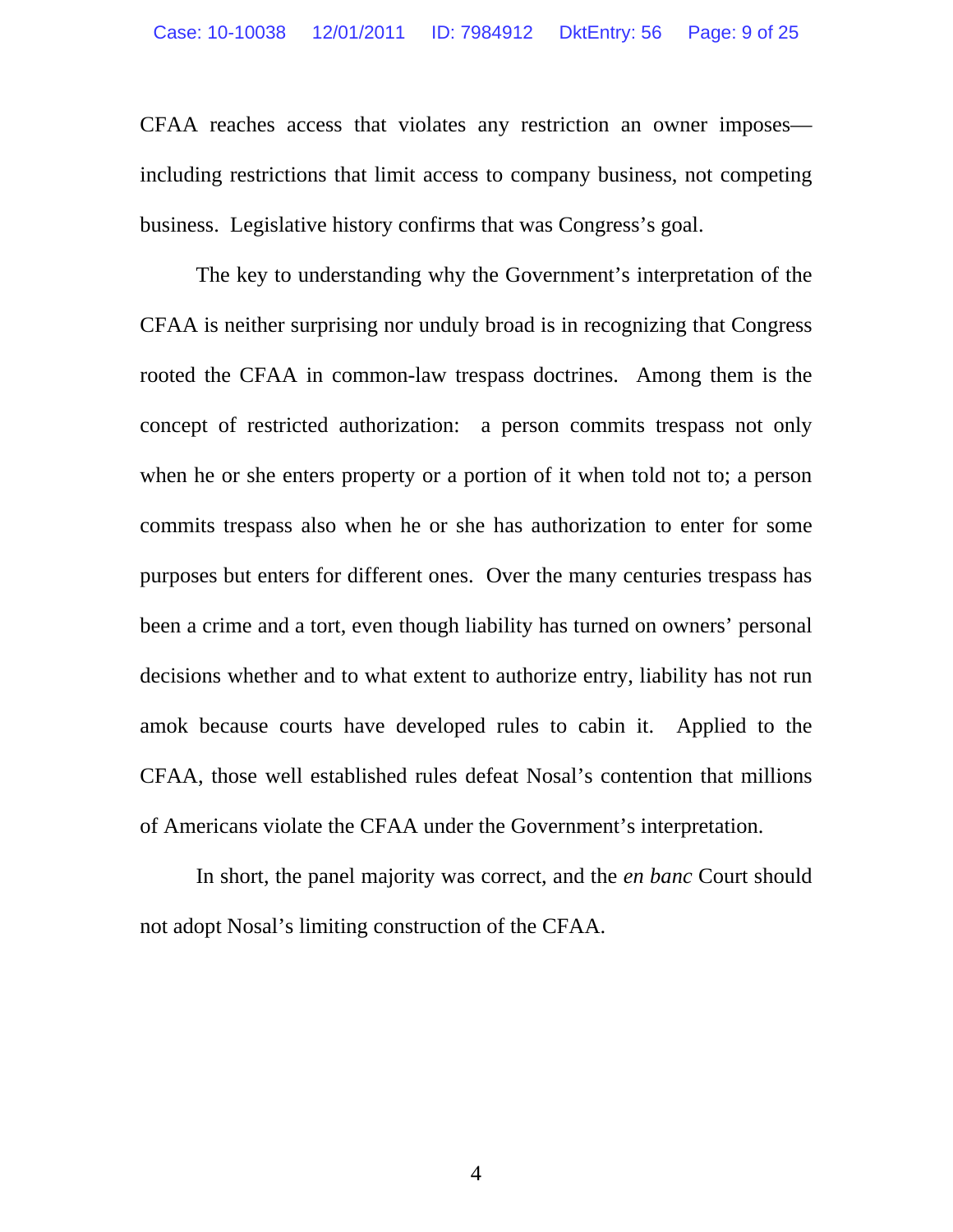CFAA reaches access that violates any restriction an owner imposes including restrictions that limit access to company business, not competing business. Legislative history confirms that was Congress's goal.

The key to understanding why the Government's interpretation of the CFAA is neither surprising nor unduly broad is in recognizing that Congress rooted the CFAA in common-law trespass doctrines. Among them is the concept of restricted authorization: a person commits trespass not only when he or she enters property or a portion of it when told not to; a person commits trespass also when he or she has authorization to enter for some purposes but enters for different ones. Over the many centuries trespass has been a crime and a tort, even though liability has turned on owners' personal decisions whether and to what extent to authorize entry, liability has not run amok because courts have developed rules to cabin it. Applied to the CFAA, those well established rules defeat Nosal's contention that millions of Americans violate the CFAA under the Government's interpretation.

In short, the panel majority was correct, and the *en banc* Court should not adopt Nosal's limiting construction of the CFAA.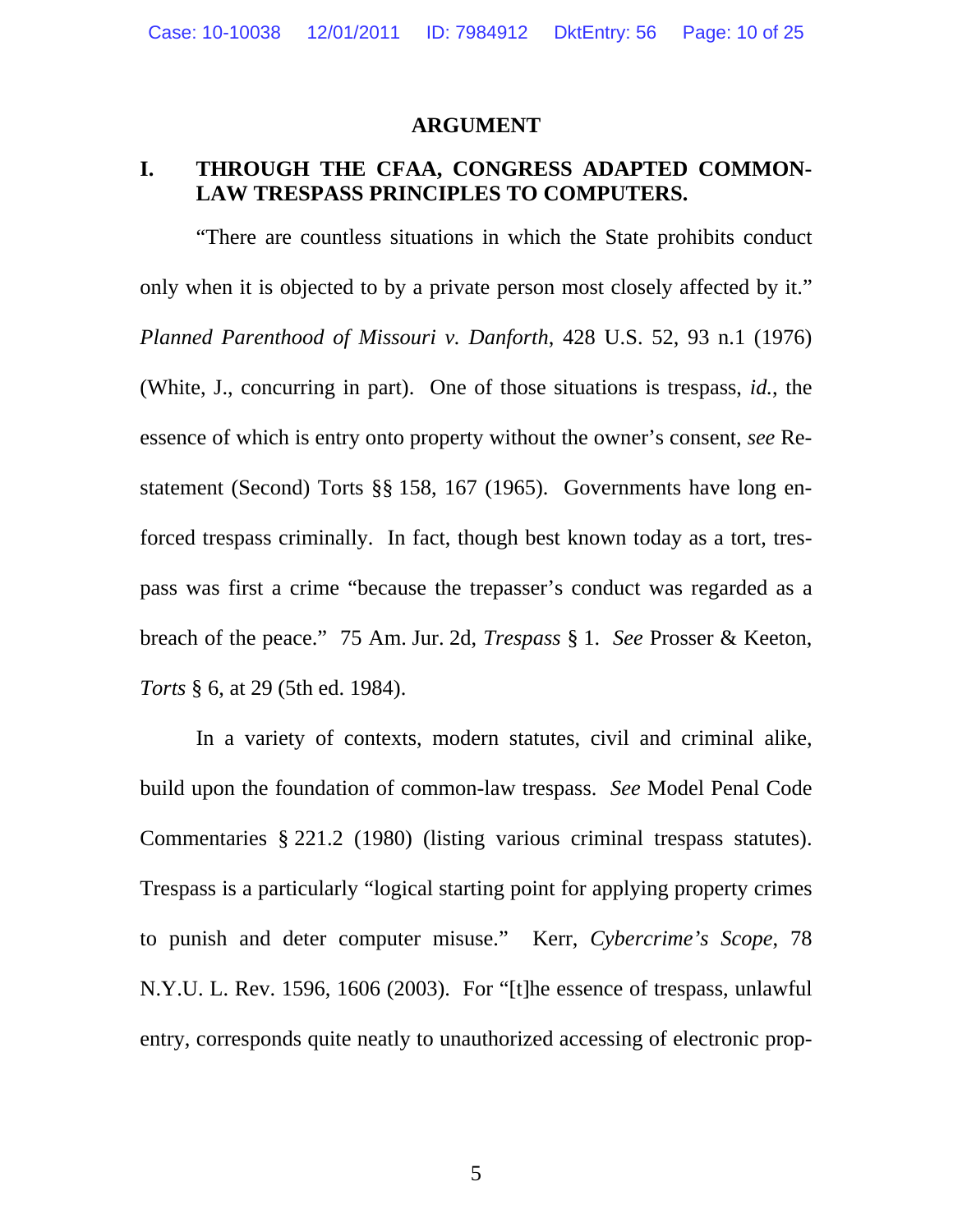#### **ARGUMENT**

### <span id="page-9-0"></span>**I. THROUGH THE CFAA, CONGRESS ADAPTED COMMON-LAW TRESPASS PRINCIPLES TO COMPUTERS.**

"There are countless situations in which the State prohibits conduct only when it is objected to by a private person most closely affected by it." *Planned Parenthood of Missouri v. Danforth*, 428 U.S. 52, 93 n.1 (1976) (White, J., concurring in part). One of those situations is trespass, *id.*, the essence of which is entry onto property without the owner's consent, *see* Restatement (Second) Torts §§ 158, 167 (1965). Governments have long enforced trespass criminally. In fact, though best known today as a tort, trespass was first a crime "because the trepasser's conduct was regarded as a breach of the peace." 75 Am. Jur. 2d, *Trespass* § 1. *See* Prosser & Keeton, *Torts* § 6, at 29 (5th ed. 1984).

In a variety of contexts, modern statutes, civil and criminal alike, build upon the foundation of common-law trespass. *See* Model Penal Code Commentaries § 221.2 (1980) (listing various criminal trespass statutes). Trespass is a particularly "logical starting point for applying property crimes to punish and deter computer misuse." Kerr, *Cybercrime's Scope*, 78 N.Y.U. L. Rev. 1596, 1606 (2003). For "[t]he essence of trespass, unlawful entry, corresponds quite neatly to unauthorized accessing of electronic prop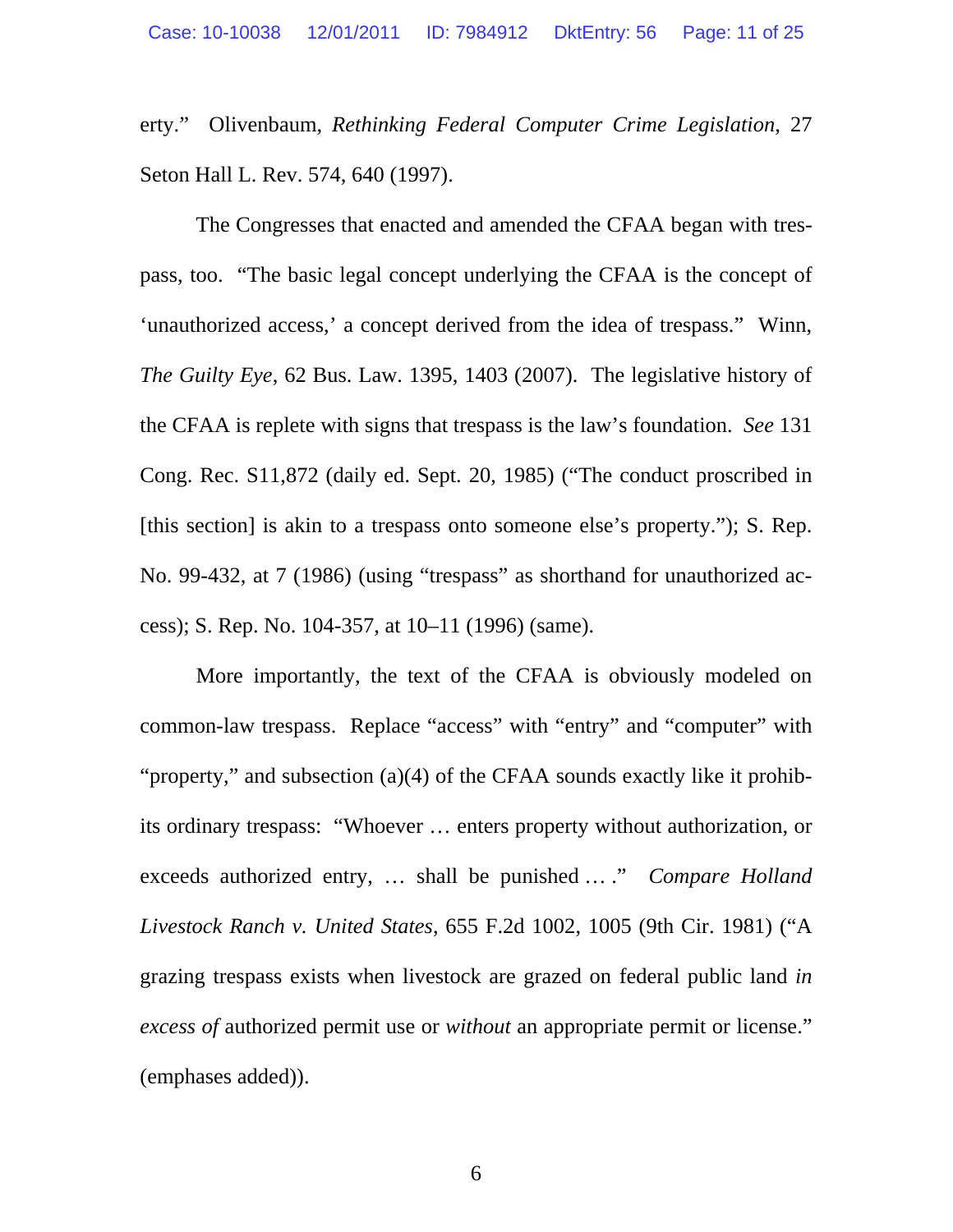<span id="page-10-0"></span>erty." Olivenbaum, *Rethinking Federal Computer Crime Legislation*, 27 Seton Hall L. Rev. 574, 640 (1997).

The Congresses that enacted and amended the CFAA began with trespass, too. "The basic legal concept underlying the CFAA is the concept of 'unauthorized access,' a concept derived from the idea of trespass." Winn, *The Guilty Eye*, 62 Bus. Law. 1395, 1403 (2007). The legislative history of the CFAA is replete with signs that trespass is the law's foundation. *See* 131 Cong. Rec. S11,872 (daily ed. Sept. 20, 1985) ("The conduct proscribed in [this section] is akin to a trespass onto someone else's property."); S. Rep. No. 99-432, at 7 (1986) (using "trespass" as shorthand for unauthorized access); S. Rep. No. 104-357, at 10–11 (1996) (same).

More importantly, the text of the CFAA is obviously modeled on common-law trespass. Replace "access" with "entry" and "computer" with "property," and subsection (a)(4) of the CFAA sounds exactly like it prohibits ordinary trespass: "Whoever … enters property without authorization, or exceeds authorized entry, … shall be punished … ." *Compare Holland Livestock Ranch v. United States*, 655 F.2d 1002, 1005 (9th Cir. 1981) ("A grazing trespass exists when livestock are grazed on federal public land *in excess of* authorized permit use or *without* an appropriate permit or license." (emphases added)).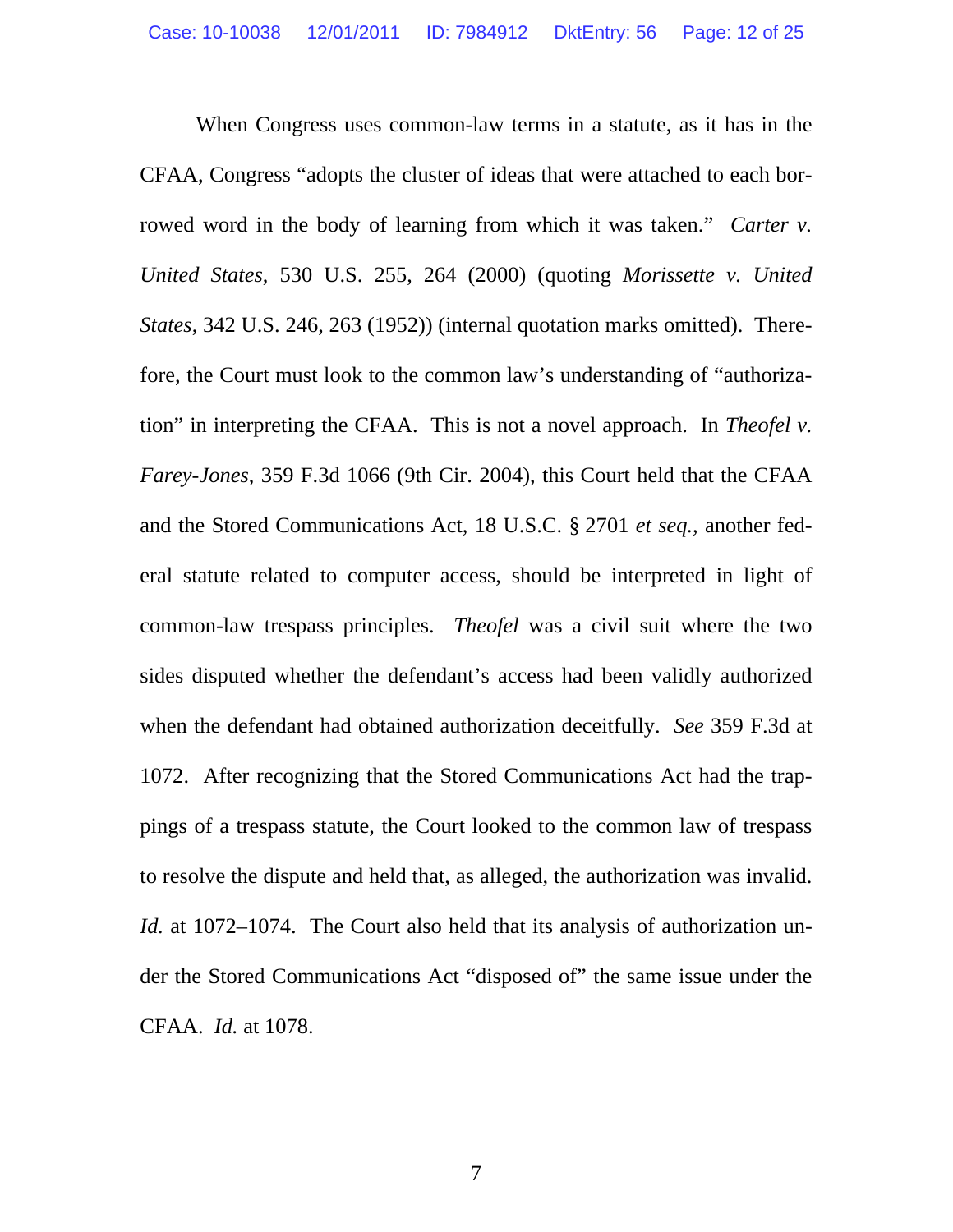<span id="page-11-0"></span>When Congress uses common-law terms in a statute, as it has in the CFAA, Congress "adopts the cluster of ideas that were attached to each borrowed word in the body of learning from which it was taken." *Carter v. United States*, 530 U.S. 255, 264 (2000) (quoting *Morissette v. United States*, 342 U.S. 246, 263 (1952)) (internal quotation marks omitted). Therefore, the Court must look to the common law's understanding of "authorization" in interpreting the CFAA. This is not a novel approach. In *Theofel v. Farey-Jones*, 359 F.3d 1066 (9th Cir. 2004), this Court held that the CFAA and the Stored Communications Act, 18 U.S.C. § 2701 *et seq.*, another federal statute related to computer access, should be interpreted in light of common-law trespass principles. *Theofel* was a civil suit where the two sides disputed whether the defendant's access had been validly authorized when the defendant had obtained authorization deceitfully. *See* 359 F.3d at 1072. After recognizing that the Stored Communications Act had the trappings of a trespass statute, the Court looked to the common law of trespass to resolve the dispute and held that, as alleged, the authorization was invalid. *Id.* at 1072–1074. The Court also held that its analysis of authorization under the Stored Communications Act "disposed of" the same issue under the CFAA. *Id.* at 1078.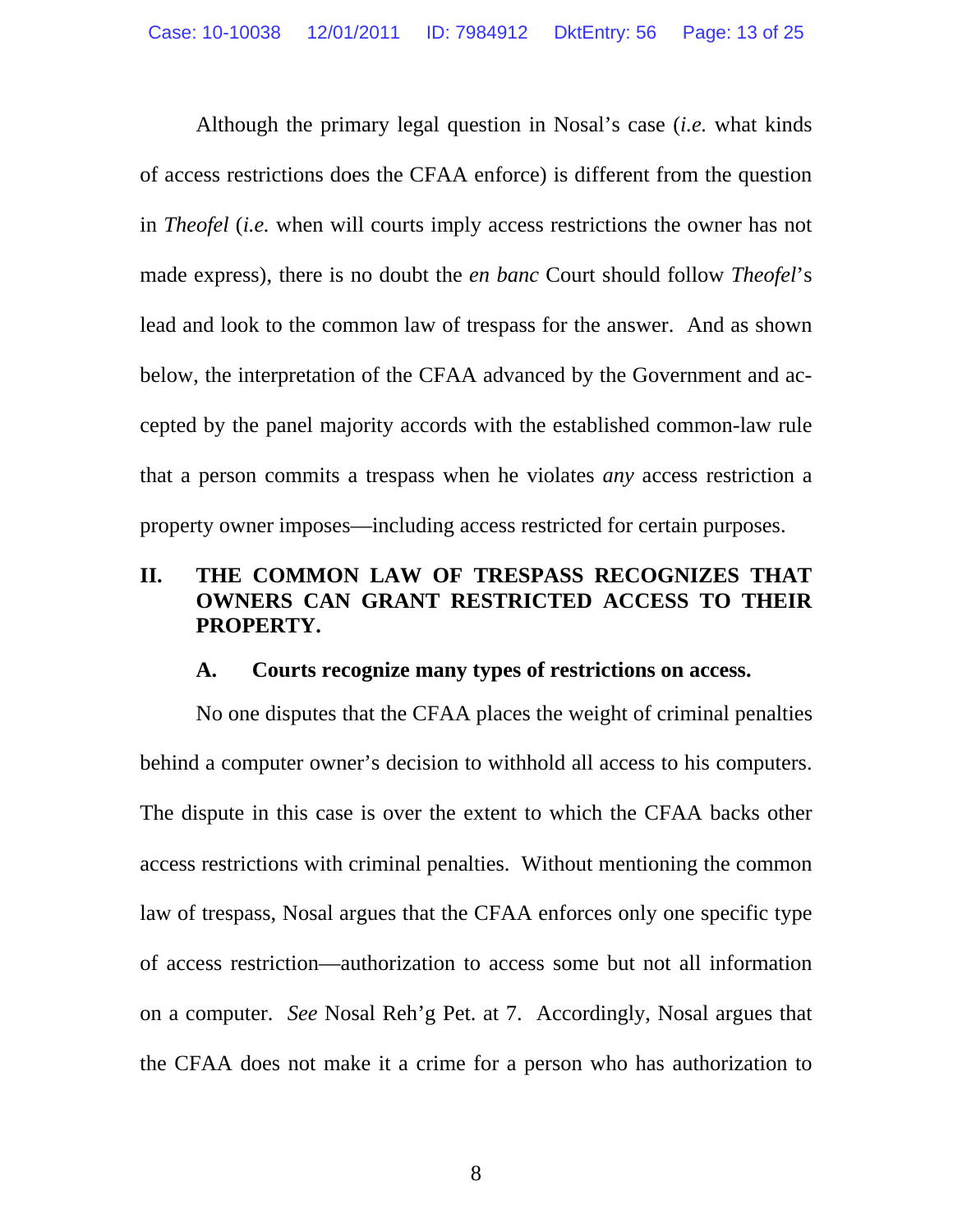Although the primary legal question in Nosal's case (*i.e.* what kinds of access restrictions does the CFAA enforce) is different from the question in *Theofel* (*i.e.* when will courts imply access restrictions the owner has not made express), there is no doubt the *en banc* Court should follow *Theofel*'s lead and look to the common law of trespass for the answer. And as shown below, the interpretation of the CFAA advanced by the Government and accepted by the panel majority accords with the established common-law rule that a person commits a trespass when he violates *any* access restriction a property owner imposes—including access restricted for certain purposes.

# **II. THE COMMON LAW OF TRESPASS RECOGNIZES THAT OWNERS CAN GRANT RESTRICTED ACCESS TO THEIR PROPERTY.**

### **A. Courts recognize many types of restrictions on access.**

No one disputes that the CFAA places the weight of criminal penalties behind a computer owner's decision to withhold all access to his computers. The dispute in this case is over the extent to which the CFAA backs other access restrictions with criminal penalties. Without mentioning the common law of trespass, Nosal argues that the CFAA enforces only one specific type of access restriction—authorization to access some but not all information on a computer. *See* Nosal Reh'g Pet. at 7. Accordingly, Nosal argues that the CFAA does not make it a crime for a person who has authorization to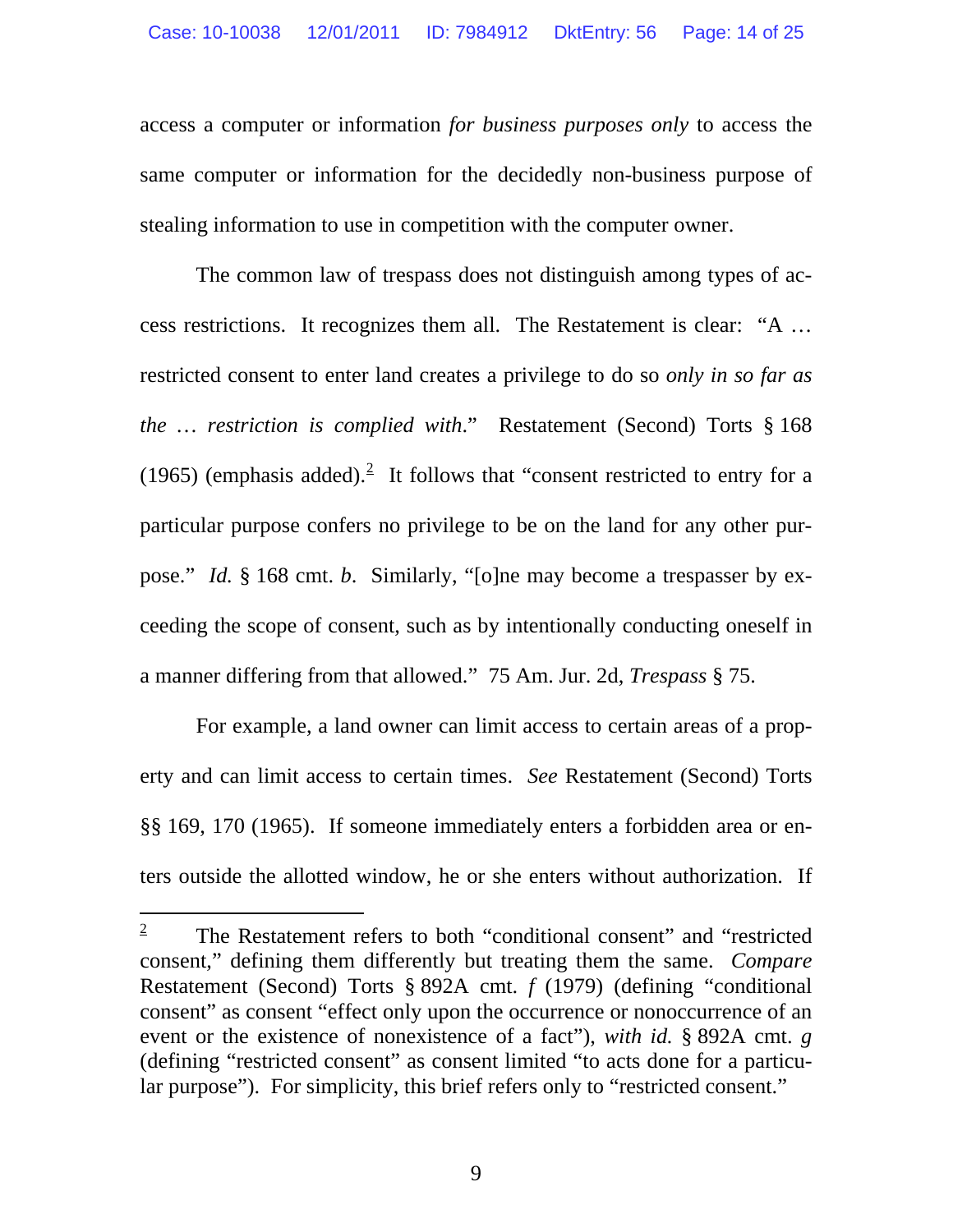<span id="page-13-0"></span>access a computer or information *for business purposes only* to access the same computer or information for the decidedly non-business purpose of stealing information to use in competition with the computer owner.

The common law of trespass does not distinguish among types of access restrictions. It recognizes them all. The Restatement is clear: "A … restricted consent to enter land creates a privilege to do so *only in so far as the … restriction is complied with*." Restatement (Second) Torts § 168 (1965) (emphasis added).<sup>[2](#page-13-1)</sup> It follows that "consent restricted to entry for a particular purpose confers no privilege to be on the land for any other purpose." *Id.* § 168 cmt. *b*. Similarly, "[o]ne may become a trespasser by exceeding the scope of consent, such as by intentionally conducting oneself in a manner differing from that allowed." 75 Am. Jur. 2d, *Trespass* § 75.

For example, a land owner can limit access to certain areas of a property and can limit access to certain times. *See* Restatement (Second) Torts §§ 169, 170 (1965). If someone immediately enters a forbidden area or enters outside the allotted window, he or she enters without authorization. If

-

<span id="page-13-1"></span><sup>2</sup> The Restatement refers to both "conditional consent" and "restricted consent," defining them differently but treating them the same. *Compare*  Restatement (Second) Torts § 892A cmt. *f* (1979) (defining "conditional consent" as consent "effect only upon the occurrence or nonoccurrence of an event or the existence of nonexistence of a fact"), *with id.* § 892A cmt. *g* (defining "restricted consent" as consent limited "to acts done for a particular purpose"). For simplicity, this brief refers only to "restricted consent."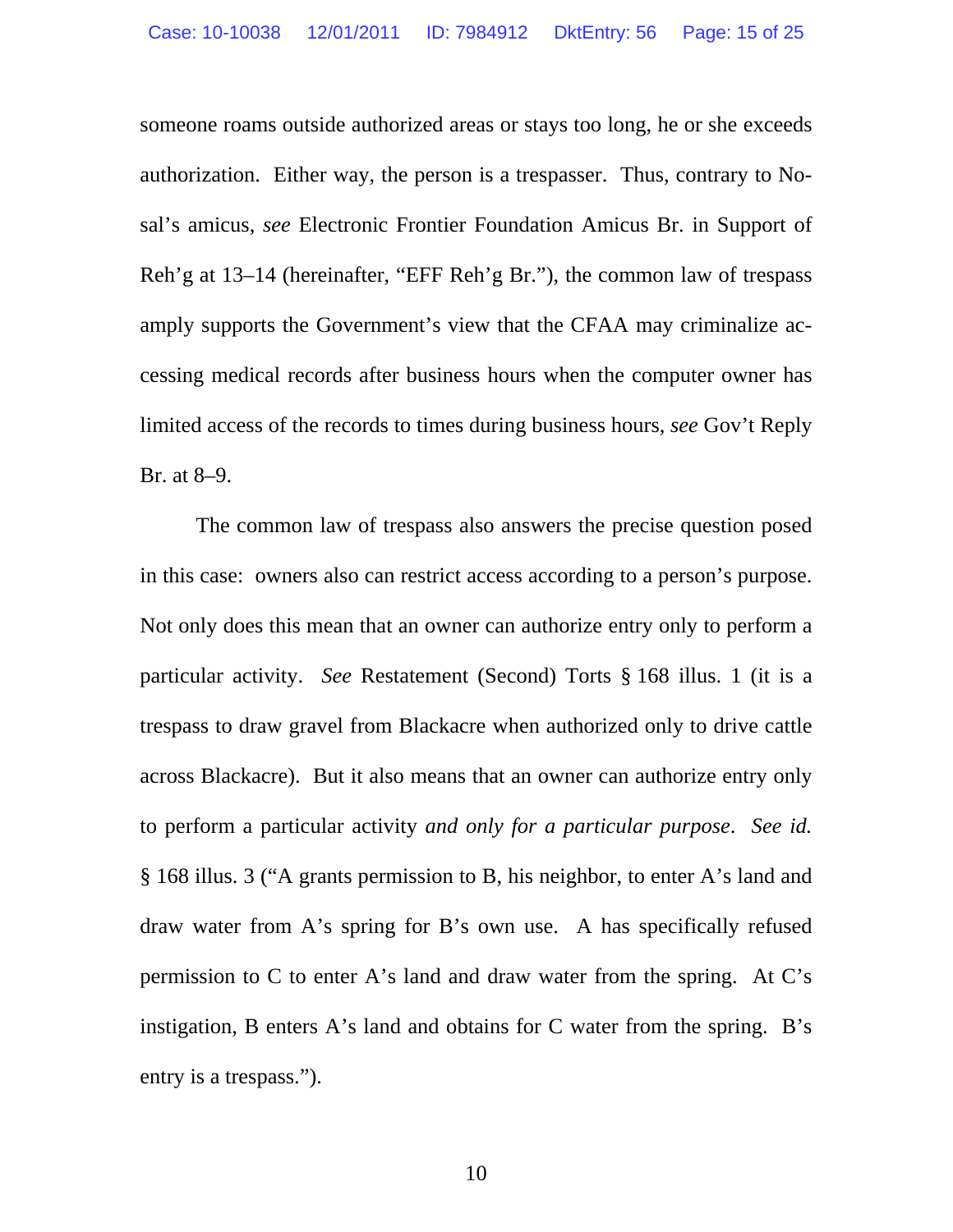someone roams outside authorized areas or stays too long, he or she exceeds authorization. Either way, the person is a trespasser. Thus, contrary to Nosal's amicus, *see* Electronic Frontier Foundation Amicus Br. in Support of Reh'g at 13–14 (hereinafter, "EFF Reh'g Br."), the common law of trespass amply supports the Government's view that the CFAA may criminalize accessing medical records after business hours when the computer owner has limited access of the records to times during business hours, *see* Gov't Reply Br. at 8–9.

The common law of trespass also answers the precise question posed in this case: owners also can restrict access according to a person's purpose. Not only does this mean that an owner can authorize entry only to perform a particular activity. *See* Restatement (Second) Torts § 168 illus. 1 (it is a trespass to draw gravel from Blackacre when authorized only to drive cattle across Blackacre). But it also means that an owner can authorize entry only to perform a particular activity *and only for a particular purpose*. *See id.* § 168 illus. 3 ("A grants permission to B, his neighbor, to enter A's land and draw water from A's spring for B's own use. A has specifically refused permission to C to enter A's land and draw water from the spring. At C's instigation, B enters A's land and obtains for C water from the spring. B's entry is a trespass.").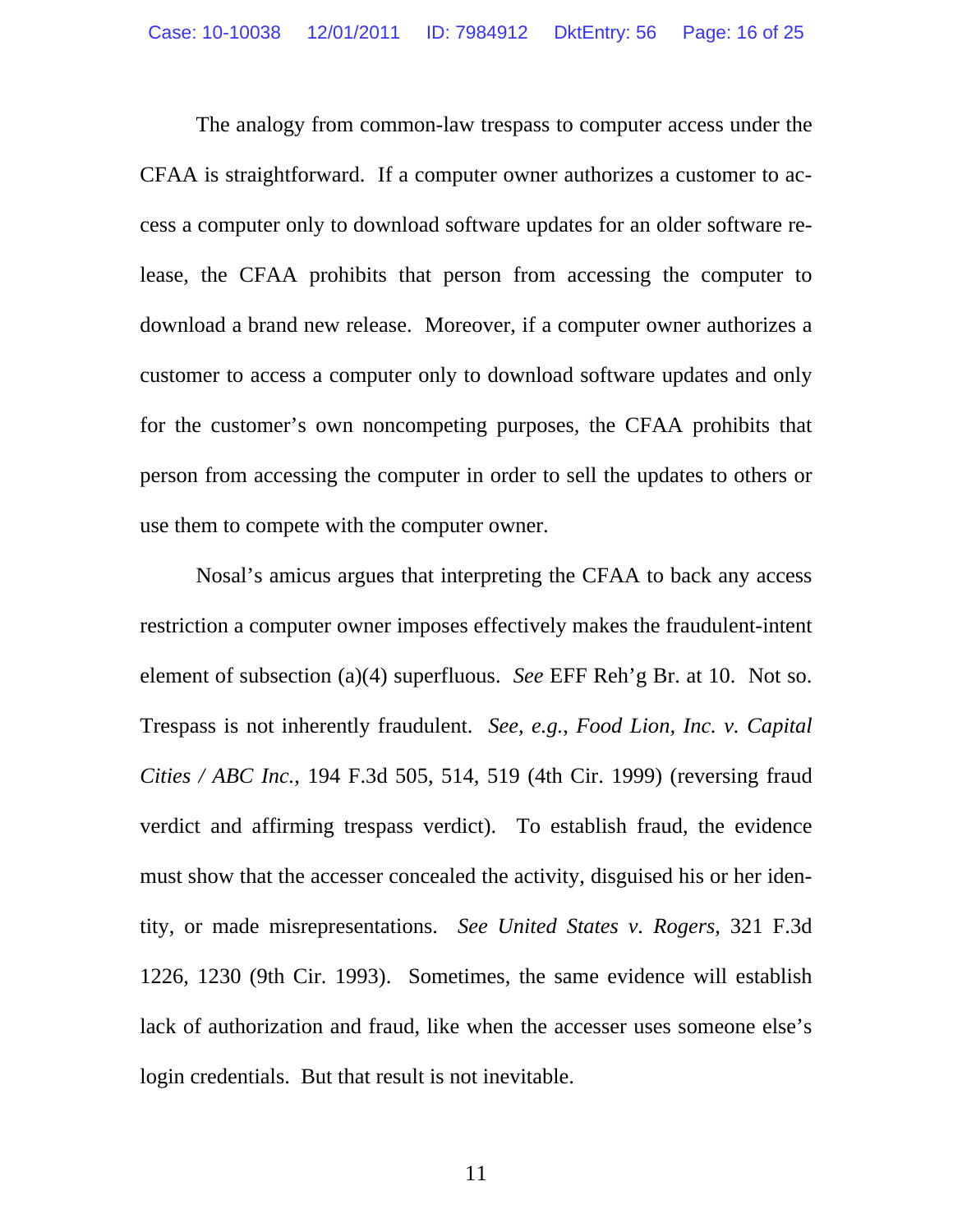<span id="page-15-0"></span>The analogy from common-law trespass to computer access under the CFAA is straightforward. If a computer owner authorizes a customer to access a computer only to download software updates for an older software release, the CFAA prohibits that person from accessing the computer to download a brand new release. Moreover, if a computer owner authorizes a customer to access a computer only to download software updates and only for the customer's own noncompeting purposes, the CFAA prohibits that person from accessing the computer in order to sell the updates to others or use them to compete with the computer owner.

Nosal's amicus argues that interpreting the CFAA to back any access restriction a computer owner imposes effectively makes the fraudulent-intent element of subsection (a)(4) superfluous. *See* EFF Reh'g Br. at 10. Not so. Trespass is not inherently fraudulent. *See, e.g.*, *Food Lion, Inc. v. Capital Cities / ABC Inc.*, 194 F.3d 505, 514, 519 (4th Cir. 1999) (reversing fraud verdict and affirming trespass verdict). To establish fraud, the evidence must show that the accesser concealed the activity, disguised his or her identity, or made misrepresentations. *See United States v. Rogers*, 321 F.3d 1226, 1230 (9th Cir. 1993). Sometimes, the same evidence will establish lack of authorization and fraud, like when the accesser uses someone else's login credentials. But that result is not inevitable.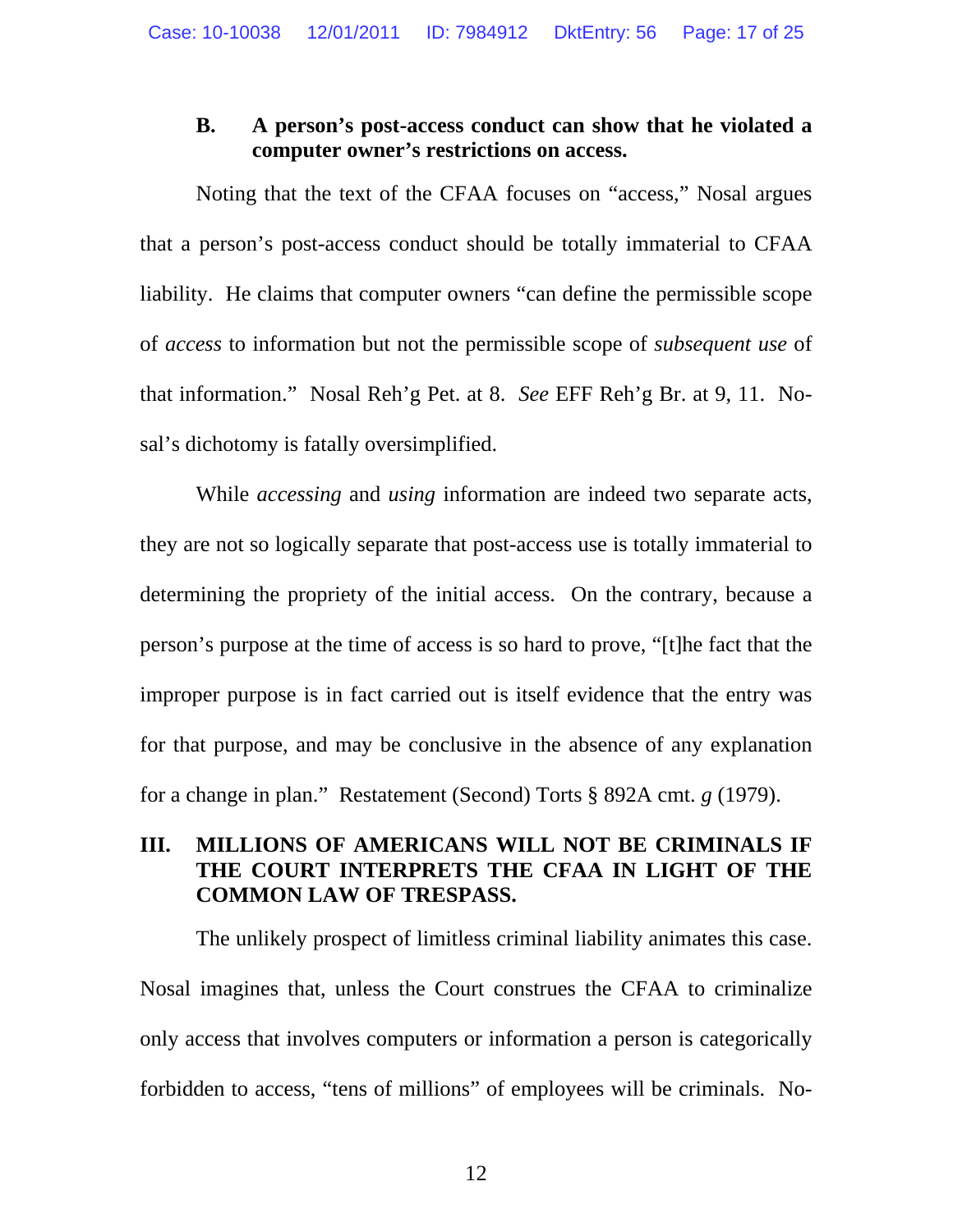# <span id="page-16-0"></span>**B. A person's post-access conduct can show that he violated a computer owner's restrictions on access.**

Noting that the text of the CFAA focuses on "access," Nosal argues that a person's post-access conduct should be totally immaterial to CFAA liability. He claims that computer owners "can define the permissible scope of *access* to information but not the permissible scope of *subsequent use* of that information." Nosal Reh'g Pet. at 8. *See* EFF Reh'g Br. at 9, 11. Nosal's dichotomy is fatally oversimplified.

While *accessing* and *using* information are indeed two separate acts, they are not so logically separate that post-access use is totally immaterial to determining the propriety of the initial access. On the contrary, because a person's purpose at the time of access is so hard to prove, "[t]he fact that the improper purpose is in fact carried out is itself evidence that the entry was for that purpose, and may be conclusive in the absence of any explanation for a change in plan." Restatement (Second) Torts § 892A cmt. *g* (1979).

# **III. MILLIONS OF AMERICANS WILL NOT BE CRIMINALS IF THE COURT INTERPRETS THE CFAA IN LIGHT OF THE COMMON LAW OF TRESPASS.**

The unlikely prospect of limitless criminal liability animates this case. Nosal imagines that, unless the Court construes the CFAA to criminalize only access that involves computers or information a person is categorically forbidden to access, "tens of millions" of employees will be criminals. No-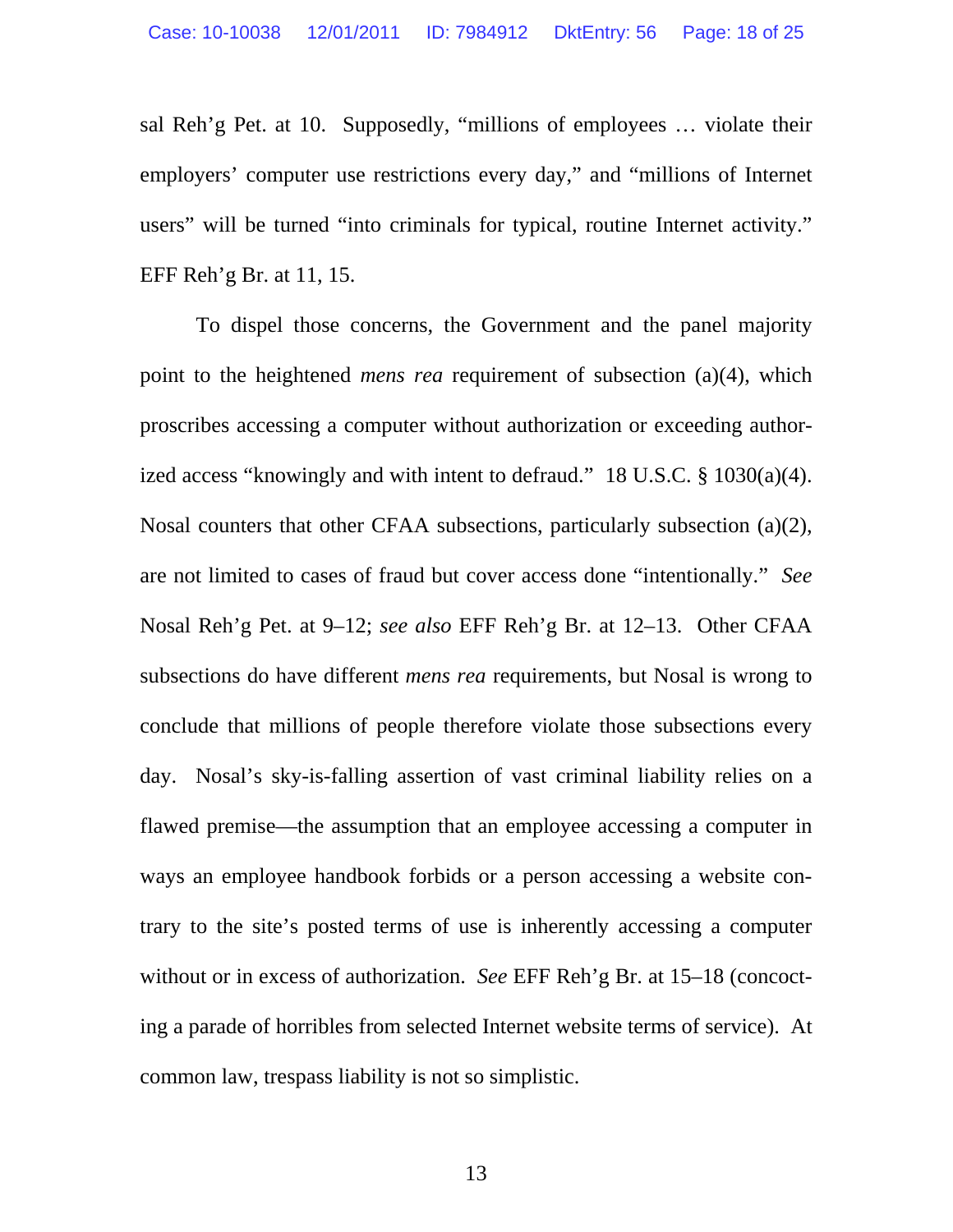sal Reh'g Pet. at 10. Supposedly, "millions of employees … violate their employers' computer use restrictions every day," and "millions of Internet users" will be turned "into criminals for typical, routine Internet activity." EFF Reh'g Br. at 11, 15.

To dispel those concerns, the Government and the panel majority point to the heightened *mens rea* requirement of subsection (a)(4), which proscribes accessing a computer without authorization or exceeding authorized access "knowingly and with intent to defraud." 18 U.S.C. § 1030(a)(4). Nosal counters that other CFAA subsections, particularly subsection (a)(2), are not limited to cases of fraud but cover access done "intentionally." *See* Nosal Reh'g Pet. at 9–12; *see also* EFF Reh'g Br. at 12–13. Other CFAA subsections do have different *mens rea* requirements, but Nosal is wrong to conclude that millions of people therefore violate those subsections every day. Nosal's sky-is-falling assertion of vast criminal liability relies on a flawed premise—the assumption that an employee accessing a computer in ways an employee handbook forbids or a person accessing a website contrary to the site's posted terms of use is inherently accessing a computer without or in excess of authorization. *See* EFF Reh'g Br. at 15–18 (concocting a parade of horribles from selected Internet website terms of service). At common law, trespass liability is not so simplistic.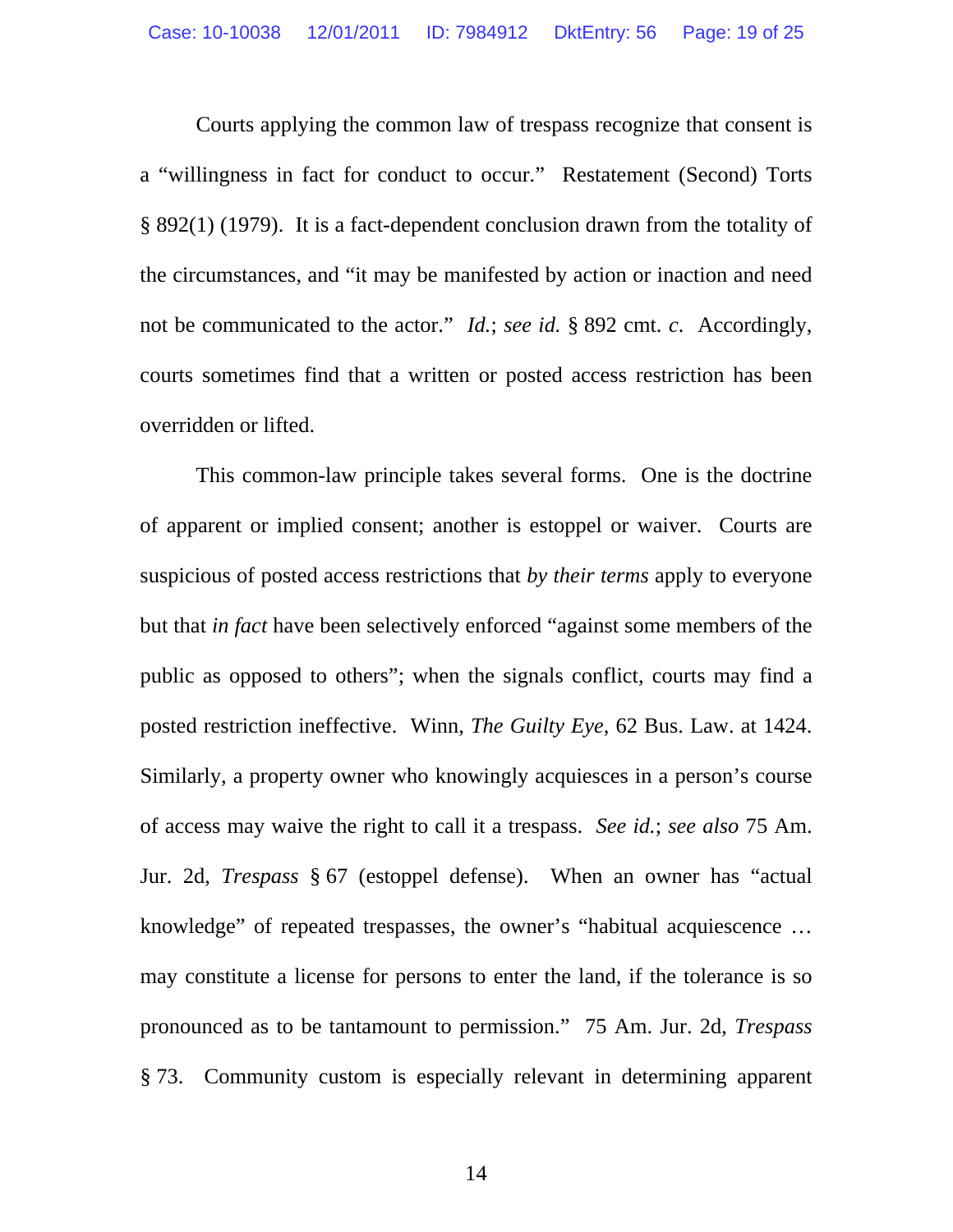<span id="page-18-0"></span>Courts applying the common law of trespass recognize that consent is a "willingness in fact for conduct to occur." Restatement (Second) Torts § 892(1) (1979). It is a fact-dependent conclusion drawn from the totality of the circumstances, and "it may be manifested by action or inaction and need not be communicated to the actor." *Id.*; *see id.* § 892 cmt. *c*. Accordingly, courts sometimes find that a written or posted access restriction has been overridden or lifted.

This common-law principle takes several forms. One is the doctrine of apparent or implied consent; another is estoppel or waiver. Courts are suspicious of posted access restrictions that *by their terms* apply to everyone but that *in fact* have been selectively enforced "against some members of the public as opposed to others"; when the signals conflict, courts may find a posted restriction ineffective. Winn, *The Guilty Eye*, 62 Bus. Law. at 1424. Similarly, a property owner who knowingly acquiesces in a person's course of access may waive the right to call it a trespass. *See id.*; *see also* 75 Am. Jur. 2d, *Trespass* § 67 (estoppel defense). When an owner has "actual knowledge" of repeated trespasses, the owner's "habitual acquiescence … may constitute a license for persons to enter the land, if the tolerance is so pronounced as to be tantamount to permission." 75 Am. Jur. 2d, *Trespass* § 73. Community custom is especially relevant in determining apparent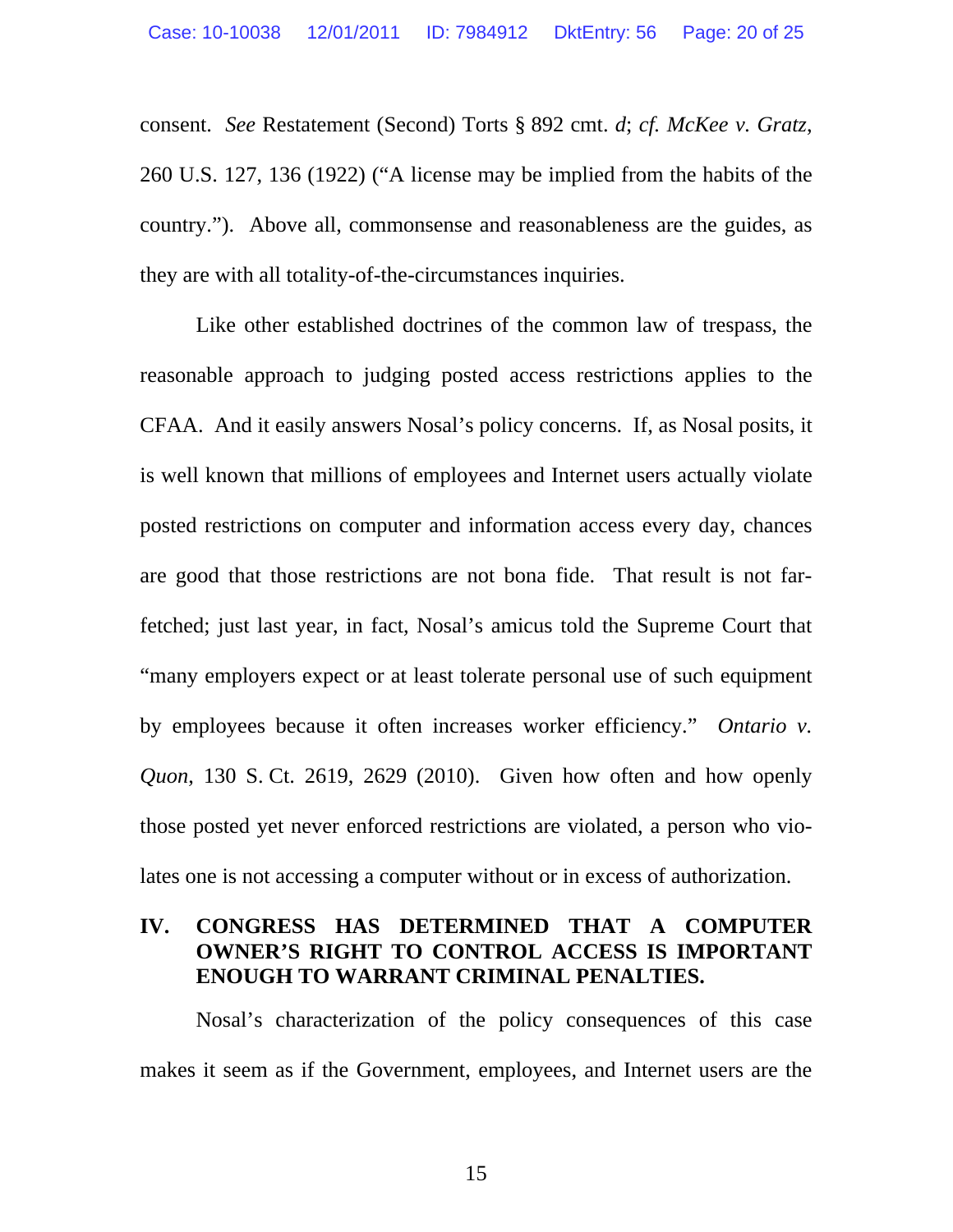<span id="page-19-0"></span>consent. *See* Restatement (Second) Torts § 892 cmt. *d*; *cf. McKee v. Gratz*, 260 U.S. 127, 136 (1922) ("A license may be implied from the habits of the country."). Above all, commonsense and reasonableness are the guides, as they are with all totality-of-the-circumstances inquiries.

Like other established doctrines of the common law of trespass, the reasonable approach to judging posted access restrictions applies to the CFAA. And it easily answers Nosal's policy concerns. If, as Nosal posits, it is well known that millions of employees and Internet users actually violate posted restrictions on computer and information access every day, chances are good that those restrictions are not bona fide. That result is not farfetched; just last year, in fact, Nosal's amicus told the Supreme Court that "many employers expect or at least tolerate personal use of such equipment by employees because it often increases worker efficiency." *Ontario v. Quon*, 130 S. Ct. 2619, 2629 (2010). Given how often and how openly those posted yet never enforced restrictions are violated, a person who violates one is not accessing a computer without or in excess of authorization.

# **IV. CONGRESS HAS DETERMINED THAT A COMPUTER OWNER'S RIGHT TO CONTROL ACCESS IS IMPORTANT ENOUGH TO WARRANT CRIMINAL PENALTIES.**

Nosal's characterization of the policy consequences of this case makes it seem as if the Government, employees, and Internet users are the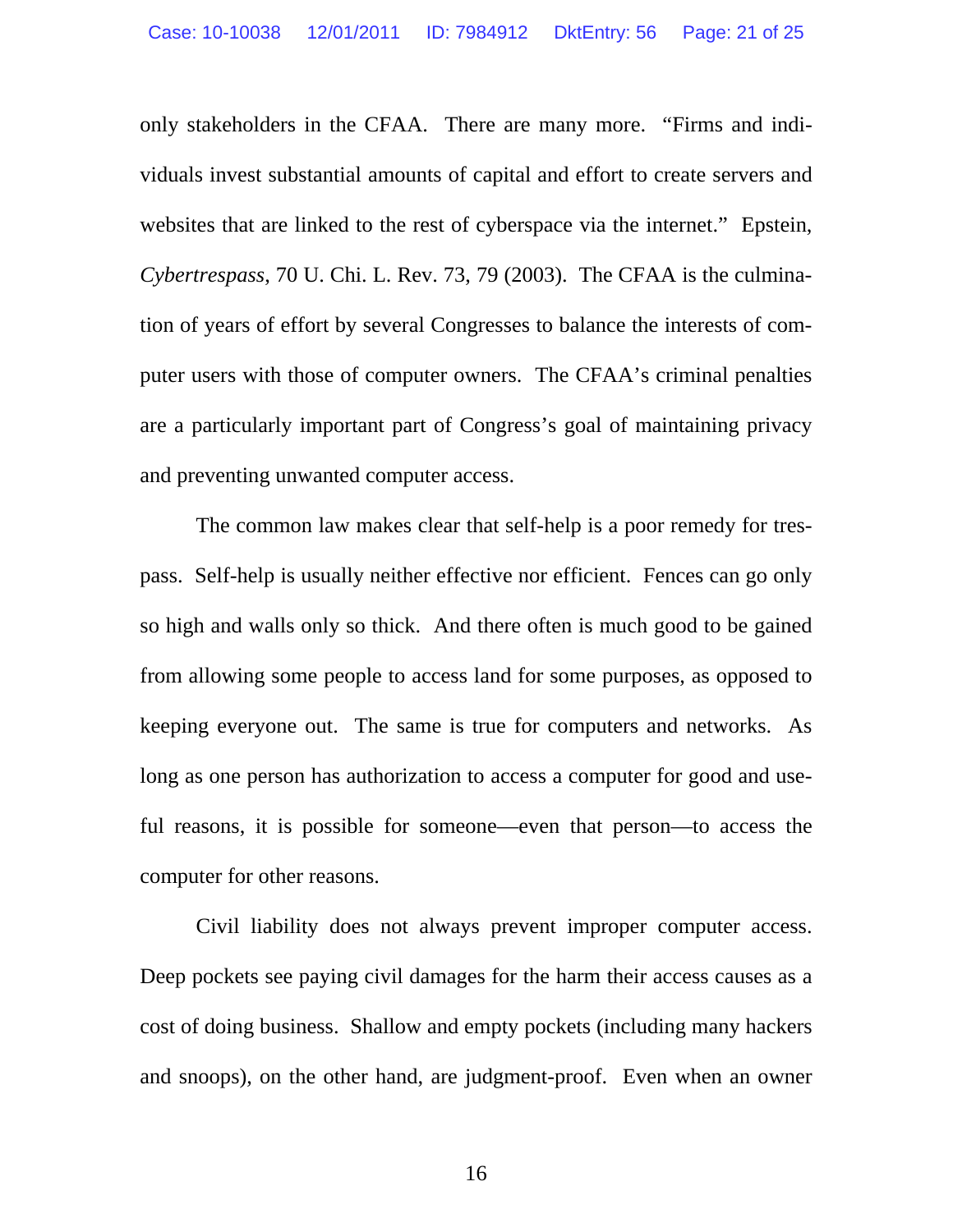only stakeholders in the CFAA. There are many more. "Firms and individuals invest substantial amounts of capital and effort to create servers and websites that are linked to the rest of cyberspace via the internet." Epstein, *Cybertrespass*, 70 U. Chi. L. Rev. 73, 79 (2003). The CFAA is the culmination of years of effort by several Congresses to balance the interests of computer users with those of computer owners. The CFAA's criminal penalties are a particularly important part of Congress's goal of maintaining privacy and preventing unwanted computer access.

The common law makes clear that self-help is a poor remedy for trespass. Self-help is usually neither effective nor efficient. Fences can go only so high and walls only so thick. And there often is much good to be gained from allowing some people to access land for some purposes, as opposed to keeping everyone out. The same is true for computers and networks. As long as one person has authorization to access a computer for good and useful reasons, it is possible for someone—even that person—to access the computer for other reasons.

Civil liability does not always prevent improper computer access. Deep pockets see paying civil damages for the harm their access causes as a cost of doing business. Shallow and empty pockets (including many hackers and snoops), on the other hand, are judgment-proof. Even when an owner

16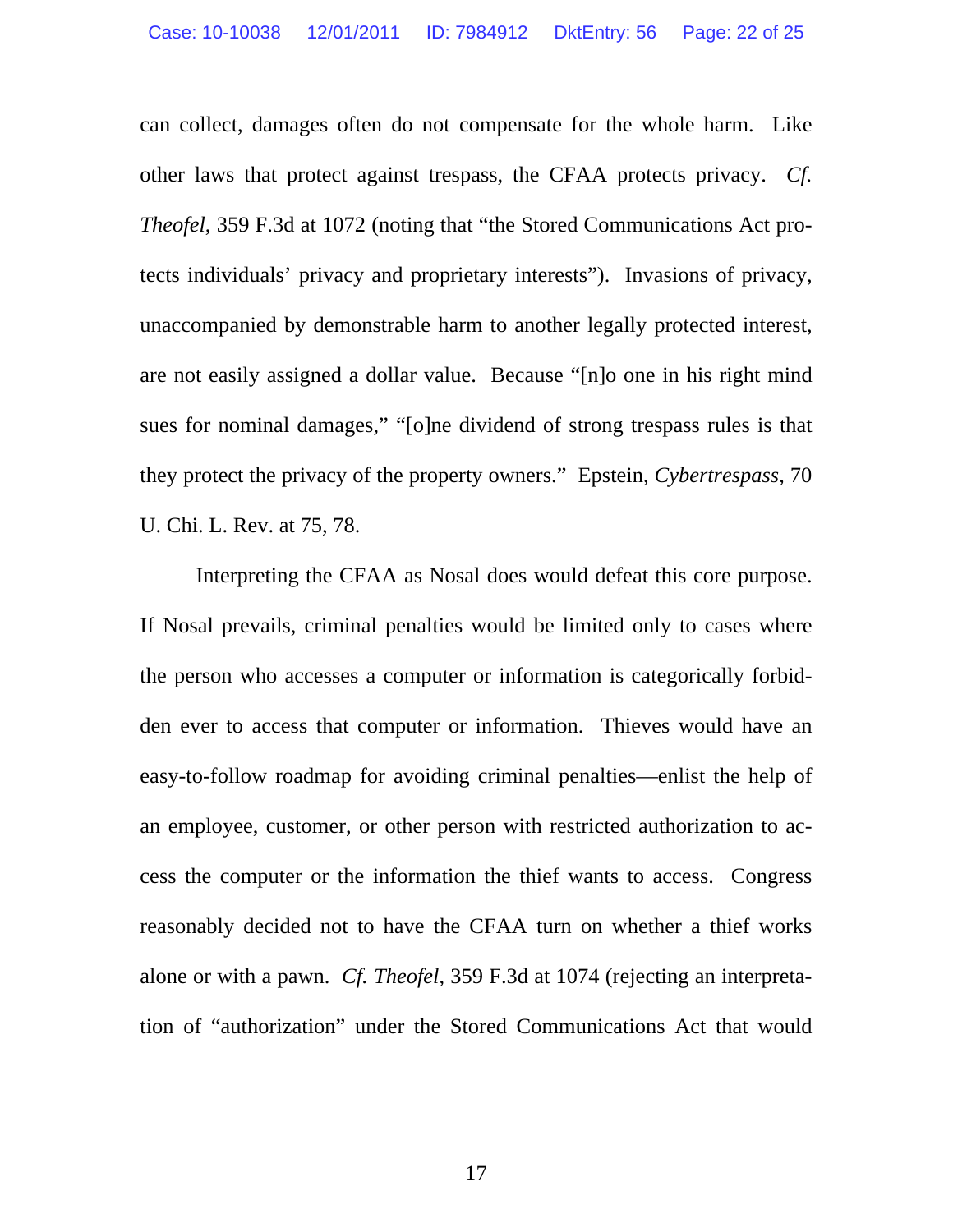can collect, damages often do not compensate for the whole harm. Like other laws that protect against trespass, the CFAA protects privacy. *Cf. Theofel*, 359 F.3d at 1072 (noting that "the Stored Communications Act protects individuals' privacy and proprietary interests"). Invasions of privacy, unaccompanied by demonstrable harm to another legally protected interest, are not easily assigned a dollar value. Because "[n]o one in his right mind sues for nominal damages," "[o]ne dividend of strong trespass rules is that they protect the privacy of the property owners." Epstein, *Cybertrespass*, 70 U. Chi. L. Rev. at 75, 78.

Interpreting the CFAA as Nosal does would defeat this core purpose. If Nosal prevails, criminal penalties would be limited only to cases where the person who accesses a computer or information is categorically forbidden ever to access that computer or information. Thieves would have an easy-to-follow roadmap for avoiding criminal penalties—enlist the help of an employee, customer, or other person with restricted authorization to access the computer or the information the thief wants to access. Congress reasonably decided not to have the CFAA turn on whether a thief works alone or with a pawn. *Cf. Theofel*, 359 F.3d at 1074 (rejecting an interpretation of "authorization" under the Stored Communications Act that would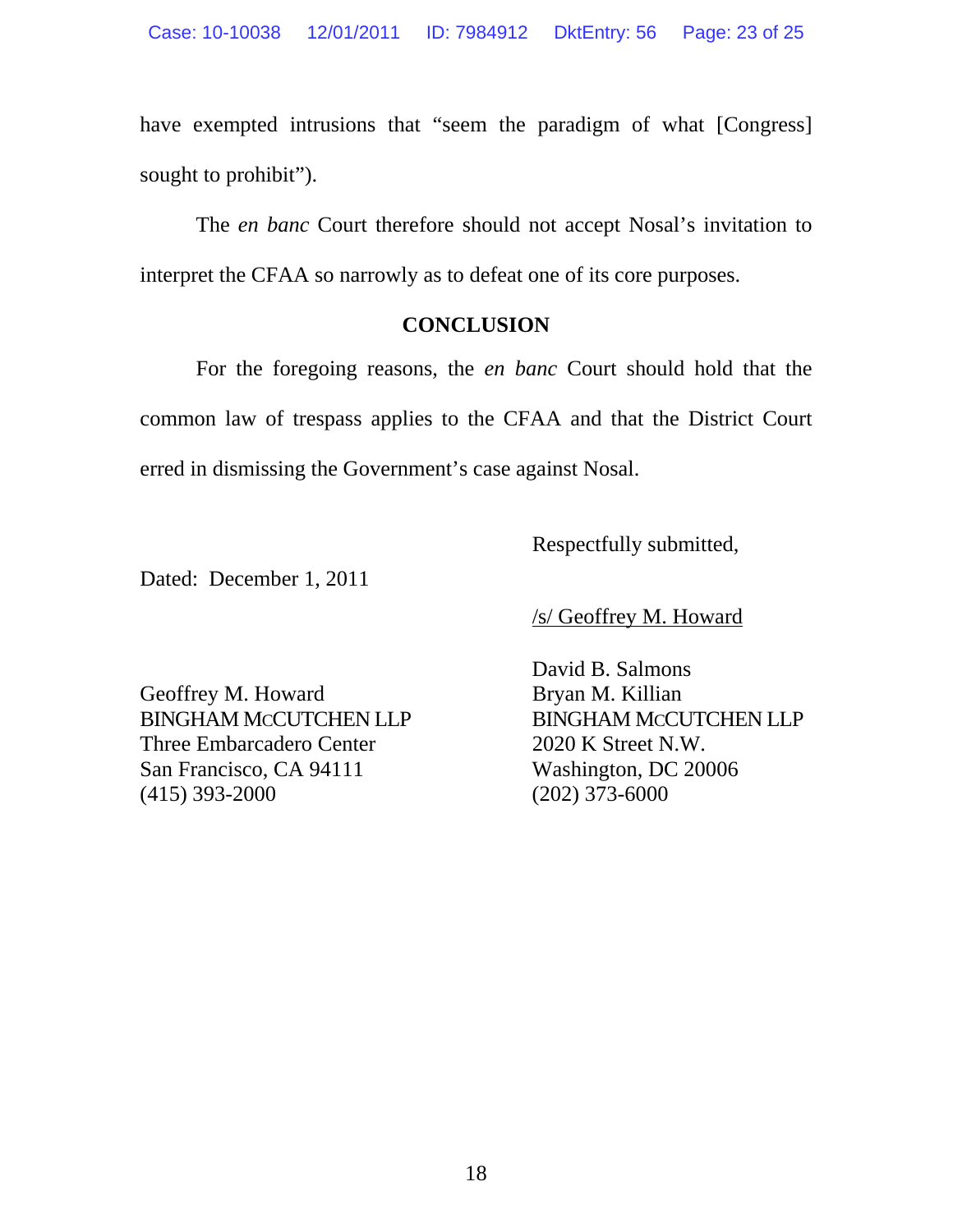have exempted intrusions that "seem the paradigm of what [Congress] sought to prohibit").

The *en banc* Court therefore should not accept Nosal's invitation to interpret the CFAA so narrowly as to defeat one of its core purposes.

# **CONCLUSION**

For the foregoing reasons, the *en banc* Court should hold that the common law of trespass applies to the CFAA and that the District Court erred in dismissing the Government's case against Nosal.

Respectfully submitted,

Dated: December 1, 2011

/s/ Geoffrey M. Howard

Geoffrey M. Howard Bryan M. Killian BINGHAM MCCUTCHEN LLP BINGHAM MCCUTCHEN LLP Three Embarcadero Center 2020 K Street N.W. San Francisco, CA 94111 Washington, DC 20006 (415) 393-2000 (202) 373-6000

David B. Salmons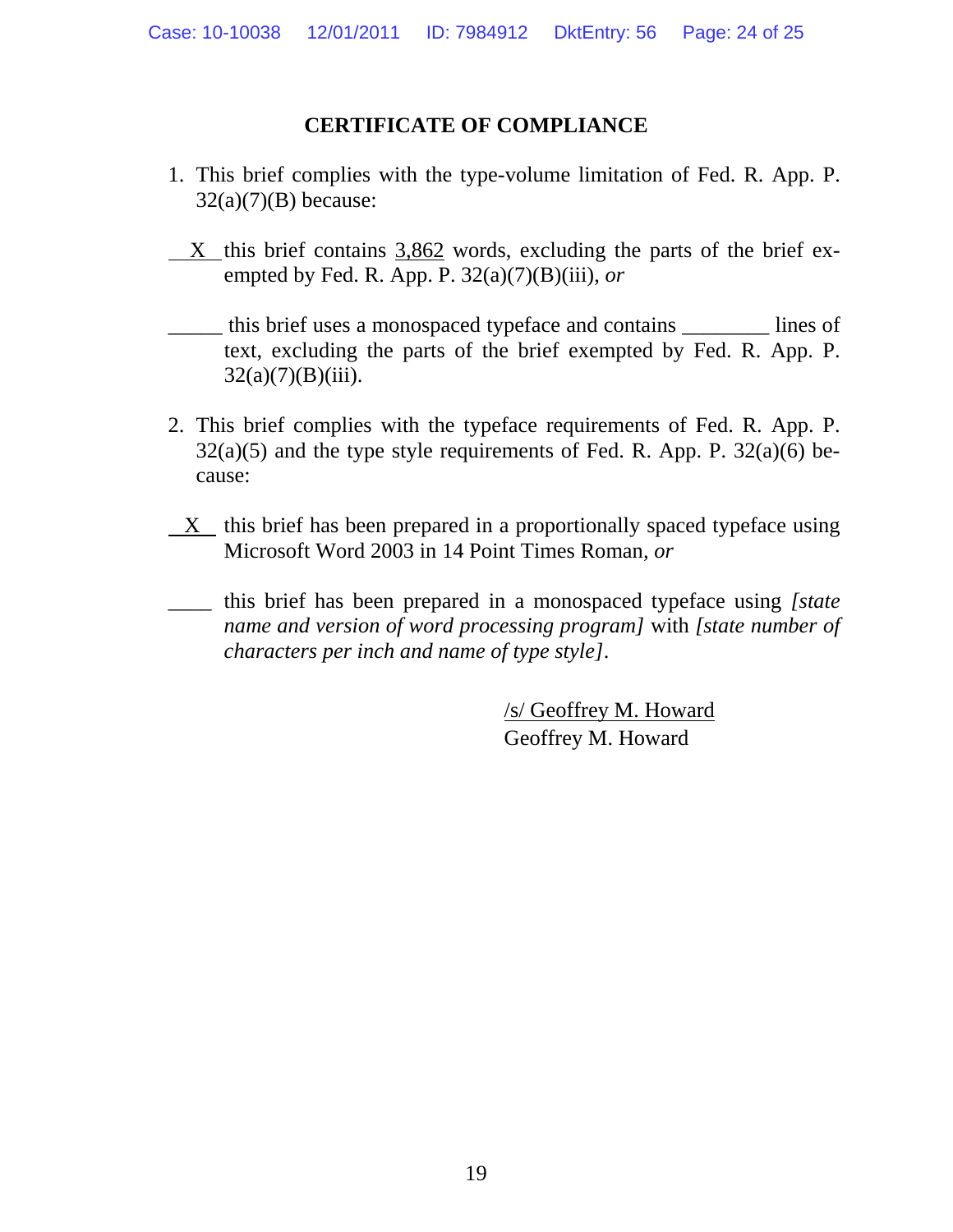# **CERTIFICATE OF COMPLIANCE**

- 1. This brief complies with the type-volume limitation of Fed. R. App. P.  $32(a)(7)(B)$  because:
- $X$  this brief contains  $3,862$  words, excluding the parts of the brief exempted by Fed. R. App. P. 32(a)(7)(B)(iii), *or*

this brief uses a monospaced typeface and contains lines of text, excluding the parts of the brief exempted by Fed. R. App. P.  $32(a)(7)(B)(iii)$ .

- 2. This brief complies with the typeface requirements of Fed. R. App. P.  $32(a)(5)$  and the type style requirements of Fed. R. App. P.  $32(a)(6)$  because:
- $X$  this brief has been prepared in a proportionally spaced typeface using Microsoft Word 2003 in 14 Point Times Roman*, or*
- \_\_\_\_ this brief has been prepared in a monospaced typeface using *[state name and version of word processing program]* with *[state number of characters per inch and name of type style]*.

/s/ Geoffrey M. Howard Geoffrey M. Howard